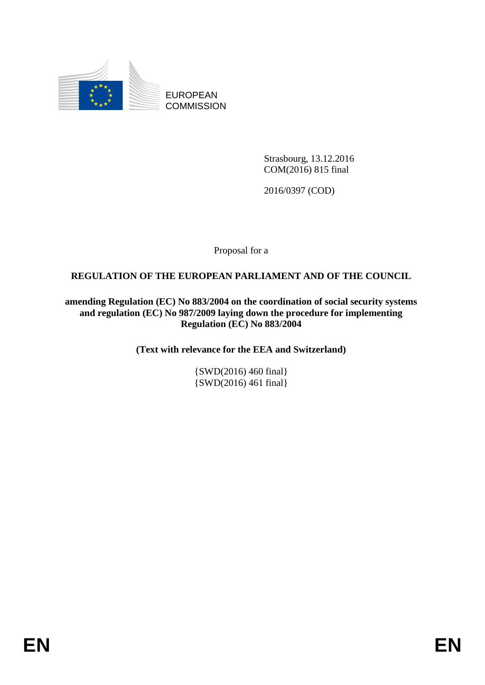

EUROPEAN **COMMISSION** 

> Strasbourg, 13.12.2016 COM(2016) 815 final

2016/0397 (COD)

Proposal for a

## **REGULATION OF THE EUROPEAN PARLIAMENT AND OF THE COUNCIL**

**amending Regulation (EC) No 883/2004 on the coordination of social security systems and regulation (EC) No 987/2009 laying down the procedure for implementing Regulation (EC) No 883/2004**

**(Text with relevance for the EEA and Switzerland)**

{SWD(2016) 460 final} {SWD(2016) 461 final}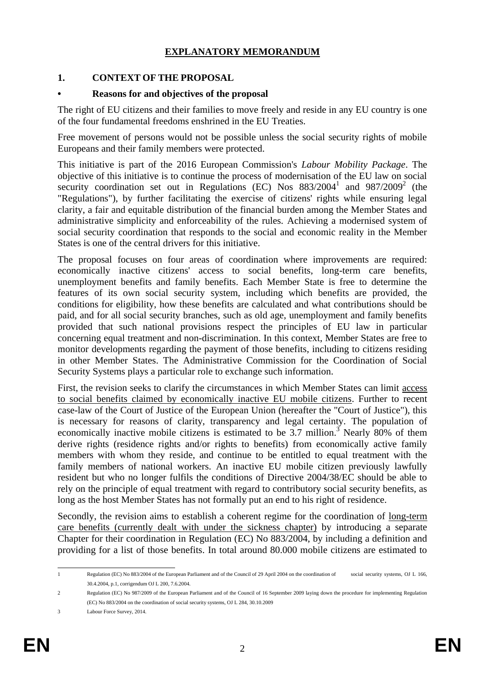### **EXPLANATORY MEMORANDUM**

### **1. CONTEXT OF THE PROPOSAL**

#### **• Reasons for and objectives of the proposal**

The right of EU citizens and their families to move freely and reside in any EU country is one of the four fundamental freedoms enshrined in the EU Treaties.

Free movement of persons would not be possible unless the social security rights of mobile Europeans and their family members were protected.

This initiative is part of the 2016 European Commission's *Labour Mobility Package*. The objective of this initiative is to continue the process of modernisation of the EU law on social security coordination set out in Regulations (EC) Nos  $883/2004^1$  and  $987/2009^2$  (the "Regulations"), by further facilitating the exercise of citizens' rights while ensuring legal clarity, a fair and equitable distribution of the financial burden among the Member States and administrative simplicity and enforceability of the rules. Achieving a modernised system of social security coordination that responds to the social and economic reality in the Member States is one of the central drivers for this initiative.

The proposal focuses on four areas of coordination where improvements are required: economically inactive citizens' access to social benefits, long-term care benefits, unemployment benefits and family benefits. Each Member State is free to determine the features of its own social security system, including which benefits are provided, the conditions for eligibility, how these benefits are calculated and what contributions should be paid, and for all social security branches, such as old age, unemployment and family benefits provided that such national provisions respect the principles of EU law in particular concerning equal treatment and non-discrimination. In this context, Member States are free to monitor developments regarding the payment of those benefits, including to citizens residing in other Member States. The Administrative Commission for the Coordination of Social Security Systems plays a particular role to exchange such information.

First, the revision seeks to clarify the circumstances in which Member States can limit access to social benefits claimed by economically inactive EU mobile citizens. Further to recent case-law of the Court of Justice of the European Union (hereafter the "Court of Justice"), this is necessary for reasons of clarity, transparency and legal certainty. The population of economically inactive mobile citizens is estimated to be  $3.7$  million.<sup>3</sup> Nearly 80% of them derive rights (residence rights and/or rights to benefits) from economically active family members with whom they reside, and continue to be entitled to equal treatment with the family members of national workers. An inactive EU mobile citizen previously lawfully resident but who no longer fulfils the conditions of Directive 2004/38/EC should be able to rely on the principle of equal treatment with regard to contributory social security benefits, as long as the host Member States has not formally put an end to his right of residence.

Secondly, the revision aims to establish a coherent regime for the coordination of long-term care benefits (currently dealt with under the sickness chapter) by introducing a separate Chapter for their coordination in Regulation (EC) No 883/2004, by including a definition and providing for a list of those benefits. In total around 80.000 mobile citizens are estimated to

 $\mathbf{1}$ 1 Regulation (EC) No 883/2004 of the European Parliament and of the Council of 29 April 2004 on the coordination of social security systems, OJ L 166, 30.4.2004, p.1, corrigendum OJ L 200, 7.6.2004.

<sup>2</sup> Regulation (EC) No 987/2009 of the European Parliament and of the Council of 16 September 2009 laying down the procedure for implementing Regulation (EC) No 883/2004 on the coordination of social security systems, OJ L 284, 30.10.2009

<sup>3</sup> Labour Force Survey, 2014.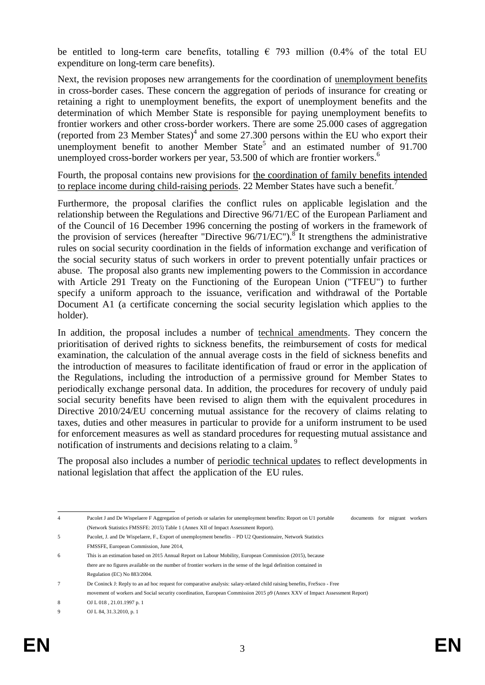be entitled to long-term care benefits, totalling  $\epsilon$  793 million (0.4% of the total EU expenditure on long-term care benefits).

Next, the revision proposes new arrangements for the coordination of unemployment benefits in cross-border cases. These concern the aggregation of periods of insurance for creating or retaining a right to unemployment benefits, the export of unemployment benefits and the determination of which Member State is responsible for paying unemployment benefits to frontier workers and other cross-border workers. There are some 25.000 cases of aggregation (reported from 23 Member States)<sup>4</sup> and some 27.300 persons within the EU who export their unemployment benefit to another Member State<sup>5</sup> and an estimated number of  $91.700$ unemployed cross-border workers per year, 53.500 of which are frontier workers.<sup>6</sup>

Fourth, the proposal contains new provisions for the coordination of family benefits intended to replace income during child-raising periods. 22 Member States have such a benefit.<sup>7</sup>

Furthermore, the proposal clarifies the conflict rules on applicable legislation and the relationship between the Regulations and Directive 96/71/EC of the European Parliament and of the Council of 16 December 1996 concerning the posting of workers in the framework of the provision of services (hereafter "Directive  $96/71/EC$ ").<sup>8</sup> It strengthens the administrative rules on social security coordination in the fields of information exchange and verification of the social security status of such workers in order to prevent potentially unfair practices or abuse. The proposal also grants new implementing powers to the Commission in accordance with Article 291 Treaty on the Functioning of the European Union ("TFEU") to further specify a uniform approach to the issuance, verification and withdrawal of the Portable Document A1 (a certificate concerning the social security legislation which applies to the holder).

In addition, the proposal includes a number of technical amendments. They concern the prioritisation of derived rights to sickness benefits, the reimbursement of costs for medical examination, the calculation of the annual average costs in the field of sickness benefits and the introduction of measures to facilitate identification of fraud or error in the application of the Regulations, including the introduction of a permissive ground for Member States to periodically exchange personal data. In addition, the procedures for recovery of unduly paid social security benefits have been revised to align them with the equivalent procedures in Directive 2010/24/EU concerning mutual assistance for the recovery of claims relating to taxes, duties and other measures in particular to provide for a uniform instrument to be used for enforcement measures as well as standard procedures for requesting mutual assistance and notification of instruments and decisions relating to a claim.<sup>9</sup>

The proposal also includes a number of periodic technical updates to reflect developments in national legislation that affect the application of the EU rules.

 $\overline{4}$ Pacolet J and De Wispelaere F Aggregation of periods or salaries for unemployment benefits: Report on U1 portable documents for migrant workers (Network Statistics FMSSFE: 2015) Table 1 (Annex XII of Impact Assessment Report).

<sup>5</sup> Pacolet, J. and De Wispelaere, F., Export of unemployment benefits – PD U2 Questionnaire, Network Statistics FMSSFE, European Commission, June 2014,

<sup>6</sup> This is an estimation based on 2015 Annual Report on Labour Mobility, European Commission (2015), because there are no figures available on the number of frontier workers in the sense of the legal definition contained in Regulation (EC) No 883/2004.

<sup>7</sup> De Coninck J: Reply to an ad hoc request for comparative analysis: salary-related child raising benefits, FreSsco - Free

movement of workers and Social security coordination, European Commission 2015 p9 (Annex XXV of Impact Assessment Report)

<sup>8</sup> OJ L 018 , 21.01.1997 p. 1

<sup>9</sup> OJ L 84, 31.3.2010, p. 1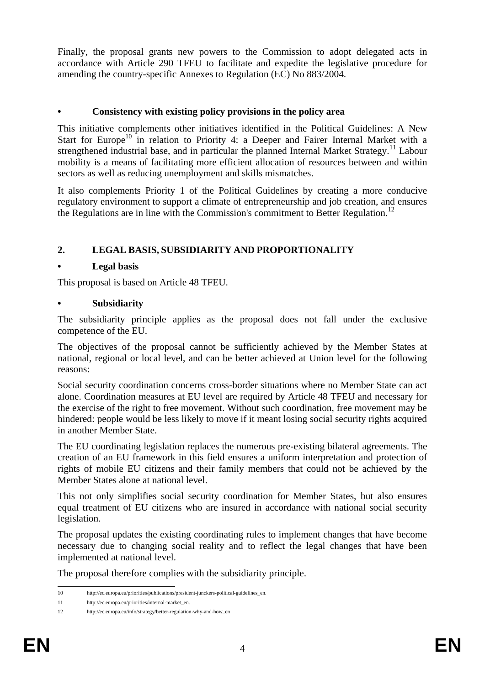Finally, the proposal grants new powers to the Commission to adopt delegated acts in accordance with Article 290 TFEU to facilitate and expedite the legislative procedure for amending the country-specific Annexes to Regulation (EC) No 883/2004.

### **• Consistency with existing policy provisions in the policy area**

This initiative complements other initiatives identified in the Political Guidelines: A New Start for Europe<sup>10</sup> in relation to Priority 4: a Deeper and Fairer Internal Market with a strengthened industrial base, and in particular the planned Internal Market Strategy.<sup>11</sup> Labour mobility is a means of facilitating more efficient allocation of resources between and within sectors as well as reducing unemployment and skills mismatches.

It also complements Priority 1 of the Political Guidelines by creating a more conducive regulatory environment to support a climate of entrepreneurship and job creation, and ensures the Regulations are in line with the Commission's commitment to Better Regulation.<sup>12</sup>

## **2. LEGAL BASIS, SUBSIDIARITY AND PROPORTIONALITY**

### **• Legal basis**

This proposal is based on Article 48 TFEU.

### **• Subsidiarity**

The subsidiarity principle applies as the proposal does not fall under the exclusive competence of the EU.

The objectives of the proposal cannot be sufficiently achieved by the Member States at national, regional or local level, and can be better achieved at Union level for the following reasons:

Social security coordination concerns cross-border situations where no Member State can act alone. Coordination measures at EU level are required by Article 48 TFEU and necessary for the exercise of the right to free movement. Without such coordination, free movement may be hindered: people would be less likely to move if it meant losing social security rights acquired in another Member State.

The EU coordinating legislation replaces the numerous pre-existing bilateral agreements. The creation of an EU framework in this field ensures a uniform interpretation and protection of rights of mobile EU citizens and their family members that could not be achieved by the Member States alone at national level.

This not only simplifies social security coordination for Member States, but also ensures equal treatment of EU citizens who are insured in accordance with national social security legislation.

The proposal updates the existing coordinating rules to implement changes that have become necessary due to changing social reality and to reflect the legal changes that have been implemented at national level.

The proposal therefore complies with the subsidiarity principle.

 $10<sup>1</sup>$ http://ec.europa.eu/priorities/publications/president-junckers-political-guidelines\_en.

<sup>11</sup> http://ec.europa.eu/priorities/internal-market\_en.

<sup>12</sup> http://ec.europa.eu/info/strategy/better-regulation-why-and-how\_en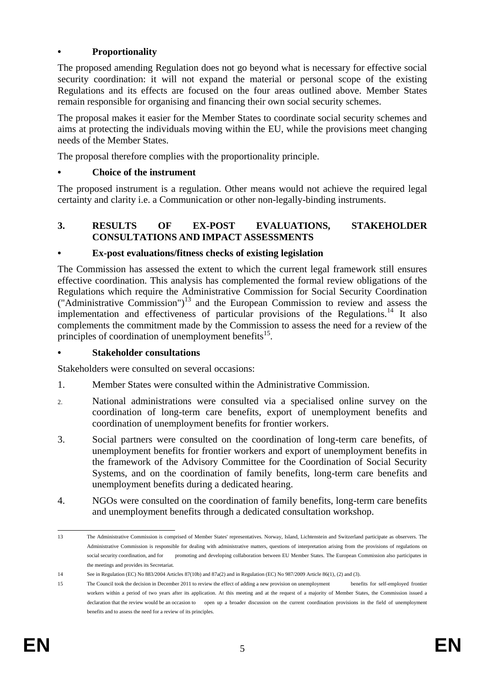## **• Proportionality**

The proposed amending Regulation does not go beyond what is necessary for effective social security coordination: it will not expand the material or personal scope of the existing Regulations and its effects are focused on the four areas outlined above. Member States remain responsible for organising and financing their own social security schemes.

The proposal makes it easier for the Member States to coordinate social security schemes and aims at protecting the individuals moving within the EU, while the provisions meet changing needs of the Member States.

The proposal therefore complies with the proportionality principle.

### **• Choice of the instrument**

The proposed instrument is a regulation. Other means would not achieve the required legal certainty and clarity i.e. a Communication or other non-legally-binding instruments.

### **3. RESULTS OF EX-POST EVALUATIONS, STAKEHOLDER CONSULTATIONS AND IMPACT ASSESSMENTS**

### **• Ex-post evaluations/fitness checks of existing legislation**

The Commission has assessed the extent to which the current legal framework still ensures effective coordination. This analysis has complemented the formal review obligations of the Regulations which require the Administrative Commission for Social Security Coordination  $("Administrative\ Commission")^{13}$  and the European Commission to review and assess the implementation and effectiveness of particular provisions of the Regulations.<sup>14</sup> It also complements the commitment made by the Commission to assess the need for a review of the principles of coordination of unemployment benefits<sup>15</sup>.

#### **• Stakeholder consultations**

Stakeholders were consulted on several occasions:

- 1. Member States were consulted within the Administrative Commission.
- 2. National administrations were consulted via a specialised online survey on the coordination of long-term care benefits, export of unemployment benefits and coordination of unemployment benefits for frontier workers.
- 3. Social partners were consulted on the coordination of long-term care benefits, of unemployment benefits for frontier workers and export of unemployment benefits in the framework of the Advisory Committee for the Coordination of Social Security Systems, and on the coordination of family benefits, long-term care benefits and unemployment benefits during a dedicated hearing.
- 4. NGOs were consulted on the coordination of family benefits, long-term care benefits and unemployment benefits through a dedicated consultation workshop.

<sup>13</sup> 13 The Administrative Commission is comprised of Member States' representatives. Norway, Island, Lichtenstein and Switzerland participate as observers. The Administrative Commission is responsible for dealing with administrative matters, questions of interpretation arising from the provisions of regulations on social security coordination, and for promoting and developing collaboration between EU Member States. The European Commission also participates in the meetings and provides its Secretariat.

<sup>14</sup> See in Regulation (EC) No 883/2004 Articles 87(10b) and 87a(2) and in Regulation (EC) No 987/2009 Article 86(1), (2) and (3).

<sup>15</sup> The Council took the decision in December 2011 to review the effect of adding a new provision on unemployment benefits for self-employed frontier workers within a period of two years after its application. At this meeting and at the request of a majority of Member States, the Commission issued a declaration that the review would be an occasion to open up a broader discussion on the current coordination provisions in the field of unemployment benefits and to assess the need for a review of its principles.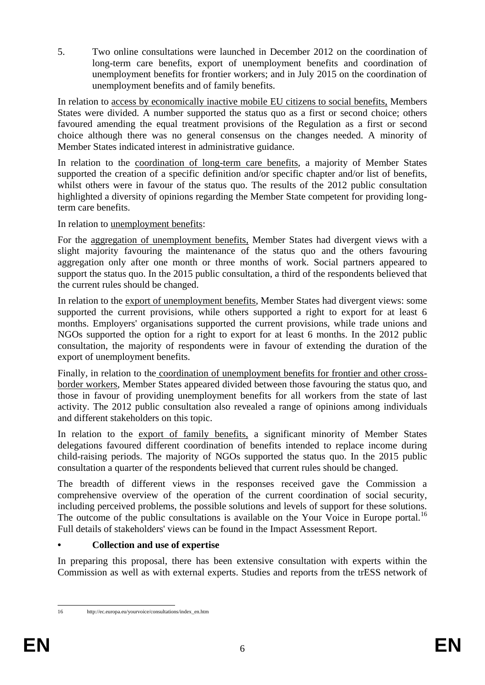5. Two online consultations were launched in December 2012 on the coordination of long-term care benefits, export of unemployment benefits and coordination of unemployment benefits for frontier workers; and in July 2015 on the coordination of unemployment benefits and of family benefits.

In relation to access by economically inactive mobile EU citizens to social benefits, Members States were divided. A number supported the status quo as a first or second choice; others favoured amending the equal treatment provisions of the Regulation as a first or second choice although there was no general consensus on the changes needed. A minority of Member States indicated interest in administrative guidance.

In relation to the coordination of long-term care benefits, a majority of Member States supported the creation of a specific definition and/or specific chapter and/or list of benefits, whilst others were in favour of the status quo. The results of the 2012 public consultation highlighted a diversity of opinions regarding the Member State competent for providing longterm care benefits.

In relation to unemployment benefits:

For the aggregation of unemployment benefits, Member States had divergent views with a slight majority favouring the maintenance of the status quo and the others favouring aggregation only after one month or three months of work. Social partners appeared to support the status quo. In the 2015 public consultation, a third of the respondents believed that the current rules should be changed.

In relation to the export of unemployment benefits, Member States had divergent views: some supported the current provisions, while others supported a right to export for at least 6 months. Employers' organisations supported the current provisions, while trade unions and NGOs supported the option for a right to export for at least 6 months. In the 2012 public consultation, the majority of respondents were in favour of extending the duration of the export of unemployment benefits.

Finally, in relation to the coordination of unemployment benefits for frontier and other crossborder workers, Member States appeared divided between those favouring the status quo, and those in favour of providing unemployment benefits for all workers from the state of last activity. The 2012 public consultation also revealed a range of opinions among individuals and different stakeholders on this topic.

In relation to the export of family benefits, a significant minority of Member States delegations favoured different coordination of benefits intended to replace income during child-raising periods. The majority of NGOs supported the status quo. In the 2015 public consultation a quarter of the respondents believed that current rules should be changed.

The breadth of different views in the responses received gave the Commission a comprehensive overview of the operation of the current coordination of social security, including perceived problems, the possible solutions and levels of support for these solutions. The outcome of the public consultations is available on the Your Voice in Europe portal.<sup>16</sup> Full details of stakeholders' views can be found in the Impact Assessment Report.

## **• Collection and use of expertise**

http://ec.europa.eu/yourvoice/consultations/index\_en.htm

In preparing this proposal, there has been extensive consultation with experts within the Commission as well as with external experts. Studies and reports from the trESS network of

 $16$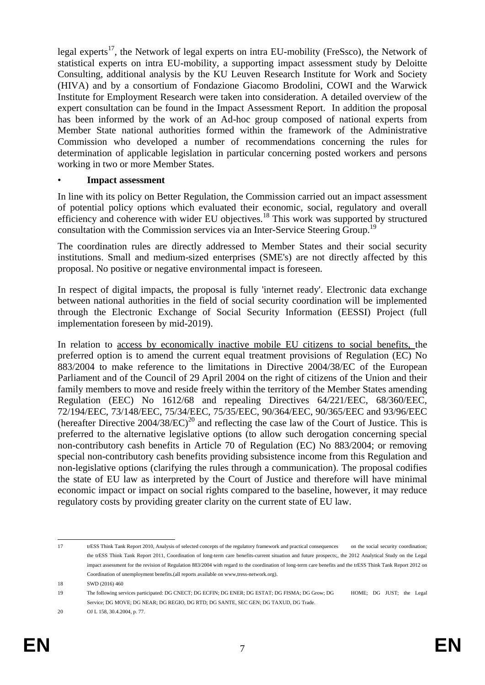legal experts<sup>17</sup>, the Network of legal experts on intra EU-mobility (FreSsco), the Network of statistical experts on intra EU-mobility, a supporting impact assessment study by Deloitte Consulting, additional analysis by the KU Leuven Research Institute for Work and Society (HIVA) and by a consortium of Fondazione Giacomo Brodolini, COWI and the Warwick Institute for Employment Research were taken into consideration. A detailed overview of the expert consultation can be found in the Impact Assessment Report. In addition the proposal has been informed by the work of an Ad-hoc group composed of national experts from Member State national authorities formed within the framework of the Administrative Commission who developed a number of recommendations concerning the rules for determination of applicable legislation in particular concerning posted workers and persons working in two or more Member States.

#### • **Impact assessment**

In line with its policy on Better Regulation, the Commission carried out an impact assessment of potential policy options which evaluated their economic, social, regulatory and overall efficiency and coherence with wider EU objectives.<sup>18</sup> This work was supported by structured consultation with the Commission services via an Inter-Service Steering Group.<sup>19</sup>

The coordination rules are directly addressed to Member States and their social security institutions. Small and medium-sized enterprises (SME's) are not directly affected by this proposal. No positive or negative environmental impact is foreseen.

In respect of digital impacts, the proposal is fully 'internet ready'. Electronic data exchange between national authorities in the field of social security coordination will be implemented through the Electronic Exchange of Social Security Information (EESSI) Project (full implementation foreseen by mid-2019).

In relation to access by economically inactive mobile EU citizens to social benefits, the preferred option is to amend the current equal treatment provisions of Regulation (EC) No 883/2004 to make reference to the limitations in Directive 2004/38/EC of the European Parliament and of the Council of 29 April 2004 on the right of citizens of the Union and their family members to move and reside freely within the territory of the Member States amending Regulation (EEC) No 1612/68 and repealing Directives 64/221/EEC, 68/360/EEC, 72/194/EEC, 73/148/EEC, 75/34/EEC, 75/35/EEC, 90/364/EEC, 90/365/EEC and 93/96/EEC (hereafter Directive  $2004/38/EC$ )<sup>20</sup> and reflecting the case law of the Court of Justice. This is preferred to the alternative legislative options (to allow such derogation concerning special non-contributory cash benefits in Article 70 of Regulation (EC) No 883/2004; or removing special non-contributory cash benefits providing subsistence income from this Regulation and non-legislative options (clarifying the rules through a communication). The proposal codifies the state of EU law as interpreted by the Court of Justice and therefore will have minimal economic impact or impact on social rights compared to the baseline, however, it may reduce regulatory costs by providing greater clarity on the current state of EU law.

 $17$ 17 trESS Think Tank Report 2010, Analysis of selected concepts of the regulatory framework and practical consequences on the social security coordination; the trESS Think Tank Report 2011, Coordination of long-term care benefits-current situation and future prospects;, the 2012 Analytical Study on the Legal impact assessment for the revision of Regulation 883/2004 with regard to the coordination of long-term care benefits and the trESS Think Tank Report 2012 on Coordination of unemployment benefits.(all reports available on www,tress-network.org).

<sup>18</sup> SWD (2016) 460

<sup>19</sup> The following services participated: DG CNECT; DG ECFIN; DG ENER; DG ESTAT; DG FISMA; DG Grow; DG HOME; DG JUST; the Legal Service; DG MOVE; DG NEAR; DG REGIO, DG RTD; DG SANTE, SEC GEN; DG TAXUD, DG Trade.

<sup>20</sup> **OJ L** 158, 30.4.2004, p. 77.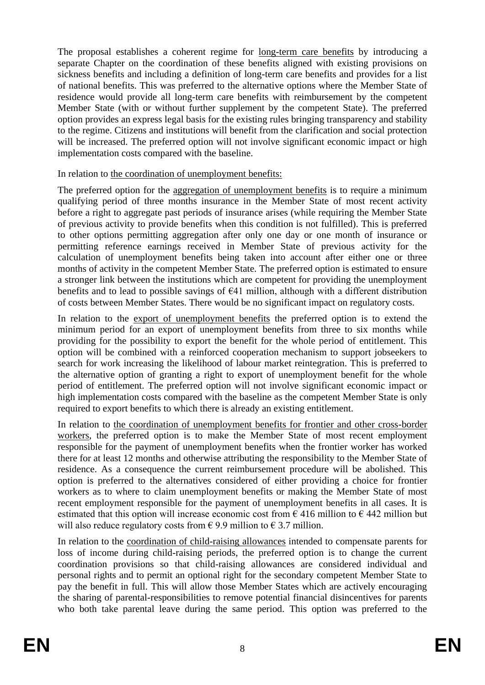The proposal establishes a coherent regime for long-term care benefits by introducing a separate Chapter on the coordination of these benefits aligned with existing provisions on sickness benefits and including a definition of long-term care benefits and provides for a list of national benefits. This was preferred to the alternative options where the Member State of residence would provide all long-term care benefits with reimbursement by the competent Member State (with or without further supplement by the competent State). The preferred option provides an express legal basis for the existing rules bringing transparency and stability to the regime. Citizens and institutions will benefit from the clarification and social protection will be increased. The preferred option will not involve significant economic impact or high implementation costs compared with the baseline.

In relation to the coordination of unemployment benefits:

The preferred option for the aggregation of unemployment benefits is to require a minimum qualifying period of three months insurance in the Member State of most recent activity before a right to aggregate past periods of insurance arises (while requiring the Member State of previous activity to provide benefits when this condition is not fulfilled). This is preferred to other options permitting aggregation after only one day or one month of insurance or permitting reference earnings received in Member State of previous activity for the calculation of unemployment benefits being taken into account after either one or three months of activity in the competent Member State. The preferred option is estimated to ensure a stronger link between the institutions which are competent for providing the unemployment benefits and to lead to possible savings of  $E$ 41 million, although with a different distribution of costs between Member States. There would be no significant impact on regulatory costs.

In relation to the export of unemployment benefits the preferred option is to extend the minimum period for an export of unemployment benefits from three to six months while providing for the possibility to export the benefit for the whole period of entitlement. This option will be combined with a reinforced cooperation mechanism to support jobseekers to search for work increasing the likelihood of labour market reintegration. This is preferred to the alternative option of granting a right to export of unemployment benefit for the whole period of entitlement. The preferred option will not involve significant economic impact or high implementation costs compared with the baseline as the competent Member State is only required to export benefits to which there is already an existing entitlement.

In relation to the coordination of unemployment benefits for frontier and other cross-border workers, the preferred option is to make the Member State of most recent employment responsible for the payment of unemployment benefits when the frontier worker has worked there for at least 12 months and otherwise attributing the responsibility to the Member State of residence. As a consequence the current reimbursement procedure will be abolished. This option is preferred to the alternatives considered of either providing a choice for frontier workers as to where to claim unemployment benefits or making the Member State of most recent employment responsible for the payment of unemployment benefits in all cases. It is estimated that this option will increase economic cost from  $\epsilon$  416 million to  $\epsilon$  442 million but will also reduce regulatory costs from  $\epsilon$  9.9 million to  $\epsilon$  3.7 million.

In relation to the coordination of child-raising allowances intended to compensate parents for loss of income during child-raising periods, the preferred option is to change the current coordination provisions so that child-raising allowances are considered individual and personal rights and to permit an optional right for the secondary competent Member State to pay the benefit in full. This will allow those Member States which are actively encouraging the sharing of parental-responsibilities to remove potential financial disincentives for parents who both take parental leave during the same period. This option was preferred to the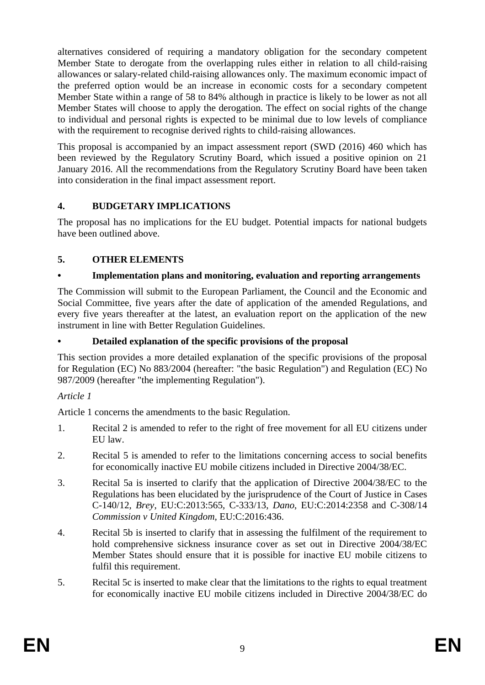alternatives considered of requiring a mandatory obligation for the secondary competent Member State to derogate from the overlapping rules either in relation to all child-raising allowances or salary-related child-raising allowances only. The maximum economic impact of the preferred option would be an increase in economic costs for a secondary competent Member State within a range of 58 to 84% although in practice is likely to be lower as not all Member States will choose to apply the derogation. The effect on social rights of the change to individual and personal rights is expected to be minimal due to low levels of compliance with the requirement to recognise derived rights to child-raising allowances.

This proposal is accompanied by an impact assessment report (SWD (2016) 460 which has been reviewed by the Regulatory Scrutiny Board, which issued a positive opinion on 21 January 2016. All the recommendations from the Regulatory Scrutiny Board have been taken into consideration in the final impact assessment report.

## **4. BUDGETARY IMPLICATIONS**

The proposal has no implications for the EU budget. Potential impacts for national budgets have been outlined above.

## **5. OTHER ELEMENTS**

## **• Implementation plans and monitoring, evaluation and reporting arrangements**

The Commission will submit to the European Parliament, the Council and the Economic and Social Committee, five years after the date of application of the amended Regulations, and every five years thereafter at the latest, an evaluation report on the application of the new instrument in line with Better Regulation Guidelines.

## **• Detailed explanation of the specific provisions of the proposal**

This section provides a more detailed explanation of the specific provisions of the proposal for Regulation (EC) No 883/2004 (hereafter: "the basic Regulation") and Regulation (EC) No 987/2009 (hereafter "the implementing Regulation").

## *Article 1*

Article 1 concerns the amendments to the basic Regulation.

- 1. Recital 2 is amended to refer to the right of free movement for all EU citizens under EU law.
- 2. Recital 5 is amended to refer to the limitations concerning access to social benefits for economically inactive EU mobile citizens included in Directive 2004/38/EC.
- 3. Recital 5a is inserted to clarify that the application of Directive 2004/38/EC to the Regulations has been elucidated by the jurisprudence of the Court of Justice in Cases C-140/12, *Brey*, EU:C:2013:565, C-333/13, *Dano*, EU:C:2014:2358 and C-308/14 *Commission v United Kingdom,* EU:C:2016:436.
- 4. Recital 5b is inserted to clarify that in assessing the fulfilment of the requirement to hold comprehensive sickness insurance cover as set out in Directive 2004/38/EC Member States should ensure that it is possible for inactive EU mobile citizens to fulfil this requirement.
- 5. Recital 5c is inserted to make clear that the limitations to the rights to equal treatment for economically inactive EU mobile citizens included in Directive 2004/38/EC do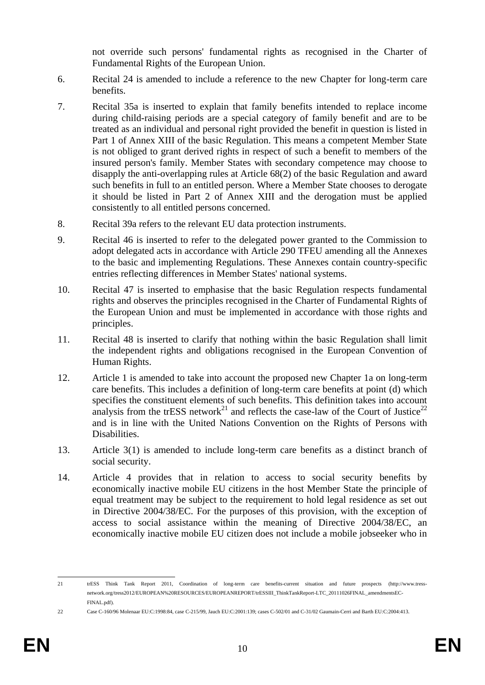not override such persons' fundamental rights as recognised in the Charter of Fundamental Rights of the European Union.

- 6. Recital 24 is amended to include a reference to the new Chapter for long-term care benefits.
- 7. Recital 35a is inserted to explain that family benefits intended to replace income during child-raising periods are a special category of family benefit and are to be treated as an individual and personal right provided the benefit in question is listed in Part 1 of Annex XIII of the basic Regulation. This means a competent Member State is not obliged to grant derived rights in respect of such a benefit to members of the insured person's family. Member States with secondary competence may choose to disapply the anti-overlapping rules at Article 68(2) of the basic Regulation and award such benefits in full to an entitled person. Where a Member State chooses to derogate it should be listed in Part 2 of Annex XIII and the derogation must be applied consistently to all entitled persons concerned.
- 8. Recital 39a refers to the relevant EU data protection instruments.
- 9. Recital 46 is inserted to refer to the delegated power granted to the Commission to adopt delegated acts in accordance with Article 290 TFEU amending all the Annexes to the basic and implementing Regulations. These Annexes contain country-specific entries reflecting differences in Member States' national systems.
- 10. Recital 47 is inserted to emphasise that the basic Regulation respects fundamental rights and observes the principles recognised in the Charter of Fundamental Rights of the European Union and must be implemented in accordance with those rights and principles.
- 11. Recital 48 is inserted to clarify that nothing within the basic Regulation shall limit the independent rights and obligations recognised in the European Convention of Human Rights.
- 12. Article 1 is amended to take into account the proposed new Chapter 1a on long-term care benefits. This includes a definition of long-term care benefits at point (d) which specifies the constituent elements of such benefits. This definition takes into account analysis from the trESS network<sup>21</sup> and reflects the case-law of the Court of Justice<sup>22</sup> and is in line with the United Nations Convention on the Rights of Persons with Disabilities.
- 13. Article 3(1) is amended to include long-term care benefits as a distinct branch of social security.
- 14. Article 4 provides that in relation to access to social security benefits by economically inactive mobile EU citizens in the host Member State the principle of equal treatment may be subject to the requirement to hold legal residence as set out in Directive 2004/38/EC. For the purposes of this provision, with the exception of access to social assistance within the meaning of Directive 2004/38/EC, an economically inactive mobile EU citizen does not include a mobile jobseeker who in

22 Case C-160/96 Molenaar EU:C:1998:84, case C-215/99, Jauch EU:C:2001:139; cases C-502/01 and C-31/02 Gaumain-Cerri and Barth EU:C:2004:413.

 $21$ 21 trESS Think Tank Report 2011, Coordination of long-term care benefits-current situation and future prospects (http://www.tressnetwork.org/tress2012/EUROPEAN%20RESOURCES/EUROPEANREPORT/trESSIII\_ThinkTankReport-LTC\_20111026FINAL\_amendmentsEC-FINAL.pdf).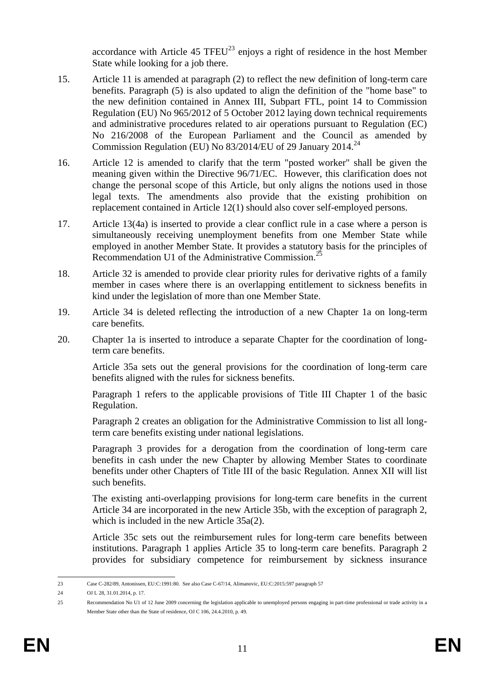accordance with Article 45 TFEU<sup>23</sup> enjoys a right of residence in the host Member State while looking for a job there.

- 15. Article 11 is amended at paragraph (2) to reflect the new definition of long-term care benefits. Paragraph (5) is also updated to align the definition of the "home base" to the new definition contained in Annex III, Subpart FTL, point 14 to Commission Regulation (EU) No 965/2012 of 5 October 2012 laying down technical requirements and administrative procedures related to air operations pursuant to Regulation (EC) No 216/2008 of the European Parliament and the Council as amended by Commission Regulation (EU) No 83/2014/EU of 29 January 2014.<sup>24</sup>
- 16. Article 12 is amended to clarify that the term "posted worker" shall be given the meaning given within the Directive 96/71/EC. However, this clarification does not change the personal scope of this Article, but only aligns the notions used in those legal texts. The amendments also provide that the existing prohibition on replacement contained in Article 12(1) should also cover self-employed persons.
- 17. Article 13(4a) is inserted to provide a clear conflict rule in a case where a person is simultaneously receiving unemployment benefits from one Member State while employed in another Member State. It provides a statutory basis for the principles of Recommendation U1 of the Administrative Commission.<sup>25</sup>
- 18. Article 32 is amended to provide clear priority rules for derivative rights of a family member in cases where there is an overlapping entitlement to sickness benefits in kind under the legislation of more than one Member State.
- 19. Article 34 is deleted reflecting the introduction of a new Chapter 1a on long-term care benefits.
- 20. Chapter 1a is inserted to introduce a separate Chapter for the coordination of longterm care benefits.

Article 35a sets out the general provisions for the coordination of long-term care benefits aligned with the rules for sickness benefits.

Paragraph 1 refers to the applicable provisions of Title III Chapter 1 of the basic Regulation.

Paragraph 2 creates an obligation for the Administrative Commission to list all longterm care benefits existing under national legislations.

Paragraph 3 provides for a derogation from the coordination of long-term care benefits in cash under the new Chapter by allowing Member States to coordinate benefits under other Chapters of Title III of the basic Regulation. Annex XII will list such benefits.

The existing anti-overlapping provisions for long-term care benefits in the current Article 34 are incorporated in the new Article 35b, with the exception of paragraph 2, which is included in the new Article 35a(2).

Article 35c sets out the reimbursement rules for long-term care benefits between institutions. Paragraph 1 applies Article 35 to long-term care benefits. Paragraph 2 provides for subsidiary competence for reimbursement by sickness insurance

 $23$ 23 Case C-282/89, Antonissen, EU:C:1991:80. See also Case C-67/14, Alimanovic, EU:C:2015:597 paragraph 57

<sup>24</sup> OJ L 28, 31.01.2014, p. 17.

<sup>25</sup> Recommendation No U1 of 12 June 2009 concerning the legislation applicable to unemployed persons engaging in part-time professional or trade activity in a Member State other than the State of residence, OJ C 106, 24.4.2010, p. 49.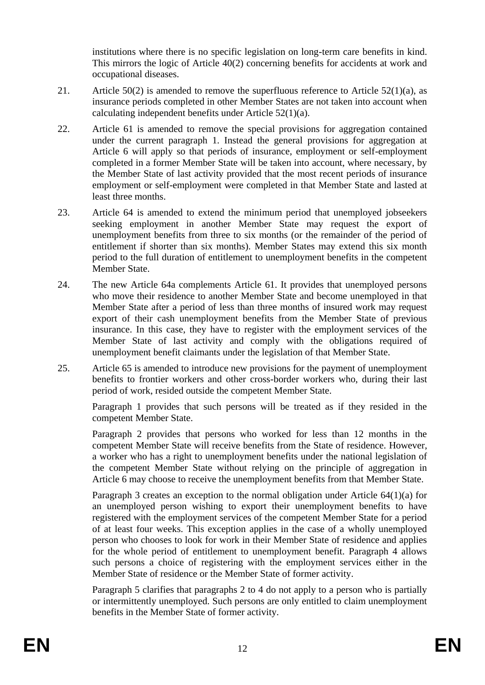institutions where there is no specific legislation on long-term care benefits in kind. This mirrors the logic of Article 40(2) concerning benefits for accidents at work and occupational diseases.

- 21. Article 50(2) is amended to remove the superfluous reference to Article  $52(1)(a)$ , as insurance periods completed in other Member States are not taken into account when calculating independent benefits under Article 52(1)(a).
- 22. Article 61 is amended to remove the special provisions for aggregation contained under the current paragraph 1. Instead the general provisions for aggregation at Article 6 will apply so that periods of insurance, employment or self-employment completed in a former Member State will be taken into account, where necessary, by the Member State of last activity provided that the most recent periods of insurance employment or self-employment were completed in that Member State and lasted at least three months.
- 23. Article 64 is amended to extend the minimum period that unemployed jobseekers seeking employment in another Member State may request the export of unemployment benefits from three to six months (or the remainder of the period of entitlement if shorter than six months). Member States may extend this six month period to the full duration of entitlement to unemployment benefits in the competent Member State.
- 24. The new Article 64a complements Article 61. It provides that unemployed persons who move their residence to another Member State and become unemployed in that Member State after a period of less than three months of insured work may request export of their cash unemployment benefits from the Member State of previous insurance. In this case, they have to register with the employment services of the Member State of last activity and comply with the obligations required of unemployment benefit claimants under the legislation of that Member State.
- 25. Article 65 is amended to introduce new provisions for the payment of unemployment benefits to frontier workers and other cross-border workers who, during their last period of work, resided outside the competent Member State.

Paragraph 1 provides that such persons will be treated as if they resided in the competent Member State.

Paragraph 2 provides that persons who worked for less than 12 months in the competent Member State will receive benefits from the State of residence. However, a worker who has a right to unemployment benefits under the national legislation of the competent Member State without relying on the principle of aggregation in Article 6 may choose to receive the unemployment benefits from that Member State.

Paragraph 3 creates an exception to the normal obligation under Article 64(1)(a) for an unemployed person wishing to export their unemployment benefits to have registered with the employment services of the competent Member State for a period of at least four weeks. This exception applies in the case of a wholly unemployed person who chooses to look for work in their Member State of residence and applies for the whole period of entitlement to unemployment benefit. Paragraph 4 allows such persons a choice of registering with the employment services either in the Member State of residence or the Member State of former activity.

Paragraph 5 clarifies that paragraphs 2 to 4 do not apply to a person who is partially or intermittently unemployed. Such persons are only entitled to claim unemployment benefits in the Member State of former activity.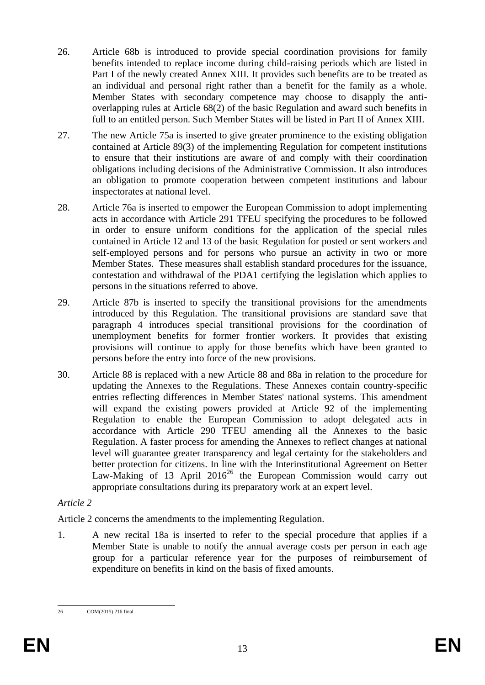- 26. Article 68b is introduced to provide special coordination provisions for family benefits intended to replace income during child-raising periods which are listed in Part I of the newly created Annex XIII. It provides such benefits are to be treated as an individual and personal right rather than a benefit for the family as a whole. Member States with secondary competence may choose to disapply the antioverlapping rules at Article 68(2) of the basic Regulation and award such benefits in full to an entitled person. Such Member States will be listed in Part II of Annex XIII.
- 27. The new Article 75a is inserted to give greater prominence to the existing obligation contained at Article 89(3) of the implementing Regulation for competent institutions to ensure that their institutions are aware of and comply with their coordination obligations including decisions of the Administrative Commission. It also introduces an obligation to promote cooperation between competent institutions and labour inspectorates at national level.
- 28. Article 76a is inserted to empower the European Commission to adopt implementing acts in accordance with Article 291 TFEU specifying the procedures to be followed in order to ensure uniform conditions for the application of the special rules contained in Article 12 and 13 of the basic Regulation for posted or sent workers and self-employed persons and for persons who pursue an activity in two or more Member States. These measures shall establish standard procedures for the issuance, contestation and withdrawal of the PDA1 certifying the legislation which applies to persons in the situations referred to above.
- 29. Article 87b is inserted to specify the transitional provisions for the amendments introduced by this Regulation. The transitional provisions are standard save that paragraph 4 introduces special transitional provisions for the coordination of unemployment benefits for former frontier workers. It provides that existing provisions will continue to apply for those benefits which have been granted to persons before the entry into force of the new provisions.
- 30. Article 88 is replaced with a new Article 88 and 88a in relation to the procedure for updating the Annexes to the Regulations. These Annexes contain country-specific entries reflecting differences in Member States' national systems. This amendment will expand the existing powers provided at Article 92 of the implementing Regulation to enable the European Commission to adopt delegated acts in accordance with Article 290 TFEU amending all the Annexes to the basic Regulation. A faster process for amending the Annexes to reflect changes at national level will guarantee greater transparency and legal certainty for the stakeholders and better protection for citizens. In line with the Interinstitutional Agreement on Better Law-Making of 13 April  $2016^{26}$  the European Commission would carry out appropriate consultations during its preparatory work at an expert level.

## *Article 2*

Article 2 concerns the amendments to the implementing Regulation.

1. A new recital 18a is inserted to refer to the special procedure that applies if a Member State is unable to notify the annual average costs per person in each age group for a particular reference year for the purposes of reimbursement of expenditure on benefits in kind on the basis of fixed amounts.

 $26$ 26 COM(2015) 216 final.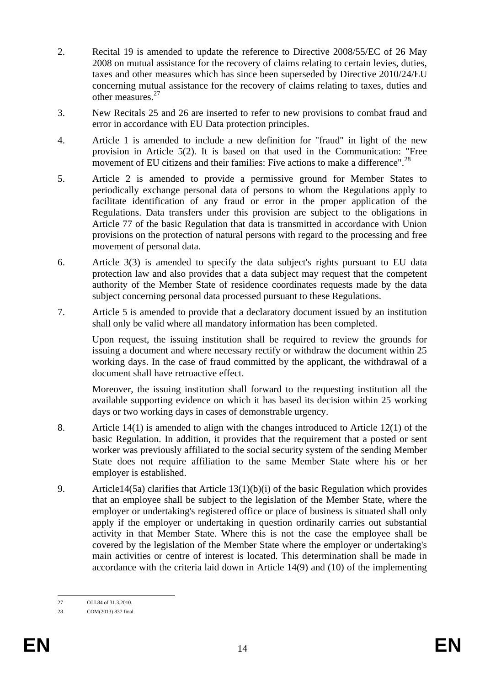- 2. Recital 19 is amended to update the reference to Directive 2008/55/EC of 26 May 2008 on mutual assistance for the recovery of claims relating to certain levies, duties, taxes and other measures which has since been superseded by Directive 2010/24/EU concerning mutual assistance for the recovery of claims relating to taxes, duties and other measures.<sup>27</sup>
- 3. New Recitals 25 and 26 are inserted to refer to new provisions to combat fraud and error in accordance with EU Data protection principles.
- 4. Article 1 is amended to include a new definition for "fraud" in light of the new provision in Article 5(2). It is based on that used in the Communication: "Free movement of EU citizens and their families: Five actions to make a difference".<sup>28</sup>
- 5. Article 2 is amended to provide a permissive ground for Member States to periodically exchange personal data of persons to whom the Regulations apply to facilitate identification of any fraud or error in the proper application of the Regulations. Data transfers under this provision are subject to the obligations in Article 77 of the basic Regulation that data is transmitted in accordance with Union provisions on the protection of natural persons with regard to the processing and free movement of personal data.
- 6. Article 3(3) is amended to specify the data subject's rights pursuant to EU data protection law and also provides that a data subject may request that the competent authority of the Member State of residence coordinates requests made by the data subject concerning personal data processed pursuant to these Regulations.
- 7. Article 5 is amended to provide that a declaratory document issued by an institution shall only be valid where all mandatory information has been completed.

Upon request, the issuing institution shall be required to review the grounds for issuing a document and where necessary rectify or withdraw the document within 25 working days. In the case of fraud committed by the applicant, the withdrawal of a document shall have retroactive effect.

Moreover, the issuing institution shall forward to the requesting institution all the available supporting evidence on which it has based its decision within 25 working days or two working days in cases of demonstrable urgency.

- 8. Article 14(1) is amended to align with the changes introduced to Article 12(1) of the basic Regulation. In addition, it provides that the requirement that a posted or sent worker was previously affiliated to the social security system of the sending Member State does not require affiliation to the same Member State where his or her employer is established.
- 9. Article14(5a) clarifies that Article 13(1)(b)(i) of the basic Regulation which provides that an employee shall be subject to the legislation of the Member State, where the employer or undertaking's registered office or place of business is situated shall only apply if the employer or undertaking in question ordinarily carries out substantial activity in that Member State. Where this is not the case the employee shall be covered by the legislation of the Member State where the employer or undertaking's main activities or centre of interest is located. This determination shall be made in accordance with the criteria laid down in Article 14(9) and (10) of the implementing

<sup>27</sup> OJ L84 of 31.3.2010.

<sup>28</sup> COM(2013) 837 final.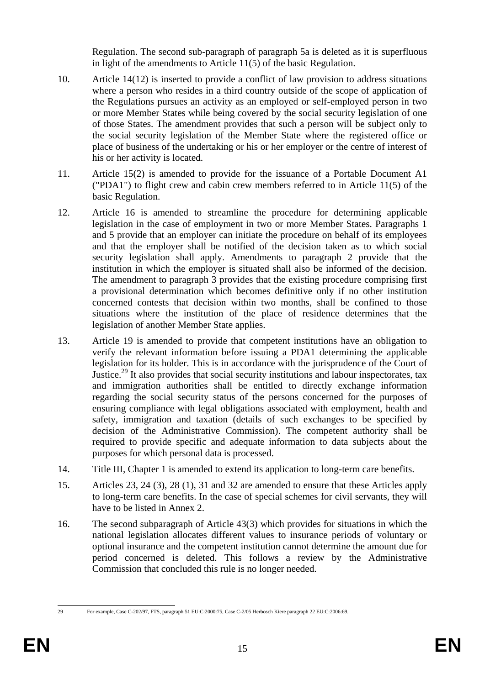Regulation. The second sub-paragraph of paragraph 5a is deleted as it is superfluous in light of the amendments to Article 11(5) of the basic Regulation.

- 10. Article 14(12) is inserted to provide a conflict of law provision to address situations where a person who resides in a third country outside of the scope of application of the Regulations pursues an activity as an employed or self-employed person in two or more Member States while being covered by the social security legislation of one of those States. The amendment provides that such a person will be subject only to the social security legislation of the Member State where the registered office or place of business of the undertaking or his or her employer or the centre of interest of his or her activity is located.
- 11. Article 15(2) is amended to provide for the issuance of a Portable Document A1 ("PDA1") to flight crew and cabin crew members referred to in Article 11(5) of the basic Regulation.
- 12. Article 16 is amended to streamline the procedure for determining applicable legislation in the case of employment in two or more Member States. Paragraphs 1 and 5 provide that an employer can initiate the procedure on behalf of its employees and that the employer shall be notified of the decision taken as to which social security legislation shall apply. Amendments to paragraph 2 provide that the institution in which the employer is situated shall also be informed of the decision. The amendment to paragraph 3 provides that the existing procedure comprising first a provisional determination which becomes definitive only if no other institution concerned contests that decision within two months, shall be confined to those situations where the institution of the place of residence determines that the legislation of another Member State applies.
- 13. Article 19 is amended to provide that competent institutions have an obligation to verify the relevant information before issuing a PDA1 determining the applicable legislation for its holder. This is in accordance with the jurisprudence of the Court of Justice.<sup>29</sup> It also provides that social security institutions and labour inspectorates, tax and immigration authorities shall be entitled to directly exchange information regarding the social security status of the persons concerned for the purposes of ensuring compliance with legal obligations associated with employment, health and safety, immigration and taxation (details of such exchanges to be specified by decision of the Administrative Commission). The competent authority shall be required to provide specific and adequate information to data subjects about the purposes for which personal data is processed.
- 14. Title III, Chapter 1 is amended to extend its application to long-term care benefits.
- 15. Articles 23, 24 (3), 28 (1), 31 and 32 are amended to ensure that these Articles apply to long-term care benefits. In the case of special schemes for civil servants, they will have to be listed in Annex 2.
- 16. The second subparagraph of Article 43(3) which provides for situations in which the national legislation allocates different values to insurance periods of voluntary or optional insurance and the competent institution cannot determine the amount due for period concerned is deleted. This follows a review by the Administrative Commission that concluded this rule is no longer needed.

<sup>29</sup> 

<sup>29</sup> For example, Case C-202/97, FTS, paragraph 51 EU:C:2000:75, Case C-2/05 Herbosch Kiere paragraph 22 EU:C:2006:69.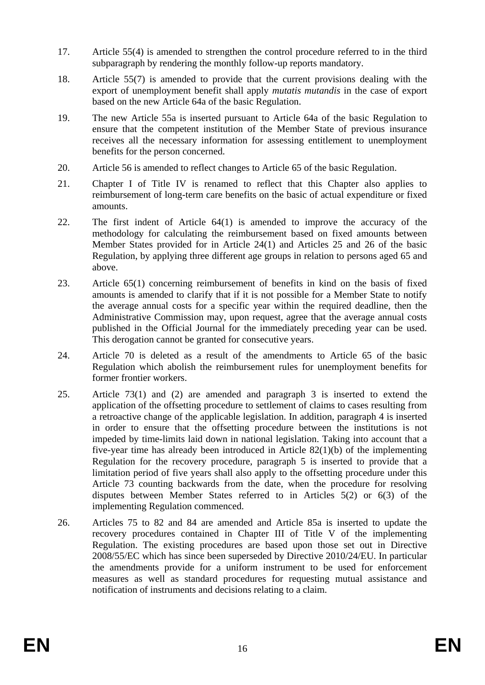- 17. Article 55(4) is amended to strengthen the control procedure referred to in the third subparagraph by rendering the monthly follow-up reports mandatory.
- 18. Article 55(7) is amended to provide that the current provisions dealing with the export of unemployment benefit shall apply *mutatis mutandis* in the case of export based on the new Article 64a of the basic Regulation.
- 19. The new Article 55a is inserted pursuant to Article 64a of the basic Regulation to ensure that the competent institution of the Member State of previous insurance receives all the necessary information for assessing entitlement to unemployment benefits for the person concerned.
- 20. Article 56 is amended to reflect changes to Article 65 of the basic Regulation.
- 21. Chapter I of Title IV is renamed to reflect that this Chapter also applies to reimbursement of long-term care benefits on the basic of actual expenditure or fixed amounts.
- 22. The first indent of Article 64(1) is amended to improve the accuracy of the methodology for calculating the reimbursement based on fixed amounts between Member States provided for in Article 24(1) and Articles 25 and 26 of the basic Regulation, by applying three different age groups in relation to persons aged 65 and above.
- 23. Article 65(1) concerning reimbursement of benefits in kind on the basis of fixed amounts is amended to clarify that if it is not possible for a Member State to notify the average annual costs for a specific year within the required deadline, then the Administrative Commission may, upon request, agree that the average annual costs published in the Official Journal for the immediately preceding year can be used. This derogation cannot be granted for consecutive years.
- 24. Article 70 is deleted as a result of the amendments to Article 65 of the basic Regulation which abolish the reimbursement rules for unemployment benefits for former frontier workers.
- 25. Article 73(1) and (2) are amended and paragraph 3 is inserted to extend the application of the offsetting procedure to settlement of claims to cases resulting from a retroactive change of the applicable legislation. In addition, paragraph 4 is inserted in order to ensure that the offsetting procedure between the institutions is not impeded by time-limits laid down in national legislation. Taking into account that a five-year time has already been introduced in Article 82(1)(b) of the implementing Regulation for the recovery procedure, paragraph 5 is inserted to provide that a limitation period of five years shall also apply to the offsetting procedure under this Article 73 counting backwards from the date, when the procedure for resolving disputes between Member States referred to in Articles 5(2) or 6(3) of the implementing Regulation commenced.
- 26. Articles 75 to 82 and 84 are amended and Article 85a is inserted to update the recovery procedures contained in Chapter III of Title V of the implementing Regulation. The existing procedures are based upon those set out in Directive 2008/55/EC which has since been superseded by Directive 2010/24/EU. In particular the amendments provide for a uniform instrument to be used for enforcement measures as well as standard procedures for requesting mutual assistance and notification of instruments and decisions relating to a claim.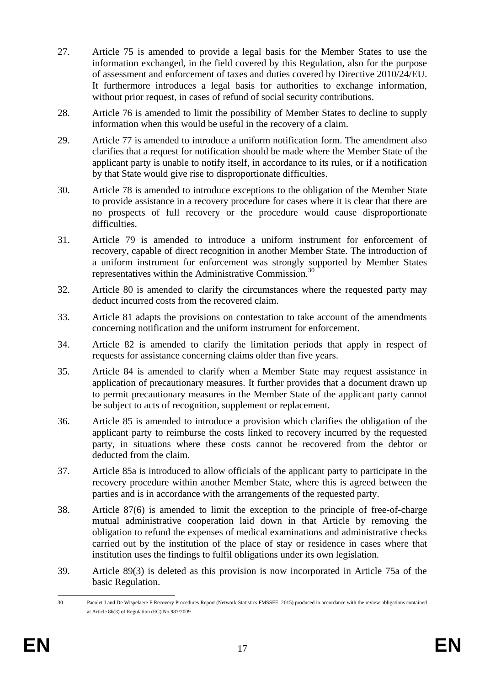- 27. Article 75 is amended to provide a legal basis for the Member States to use the information exchanged, in the field covered by this Regulation, also for the purpose of assessment and enforcement of taxes and duties covered by Directive 2010/24/EU. It furthermore introduces a legal basis for authorities to exchange information, without prior request, in cases of refund of social security contributions.
- 28. Article 76 is amended to limit the possibility of Member States to decline to supply information when this would be useful in the recovery of a claim.
- 29. Article 77 is amended to introduce a uniform notification form. The amendment also clarifies that a request for notification should be made where the Member State of the applicant party is unable to notify itself, in accordance to its rules, or if a notification by that State would give rise to disproportionate difficulties.
- 30. Article 78 is amended to introduce exceptions to the obligation of the Member State to provide assistance in a recovery procedure for cases where it is clear that there are no prospects of full recovery or the procedure would cause disproportionate difficulties.
- 31. Article 79 is amended to introduce a uniform instrument for enforcement of recovery, capable of direct recognition in another Member State. The introduction of a uniform instrument for enforcement was strongly supported by Member States representatives within the Administrative Commission.<sup>30</sup>
- 32. Article 80 is amended to clarify the circumstances where the requested party may deduct incurred costs from the recovered claim.
- 33. Article 81 adapts the provisions on contestation to take account of the amendments concerning notification and the uniform instrument for enforcement.
- 34. Article 82 is amended to clarify the limitation periods that apply in respect of requests for assistance concerning claims older than five years.
- 35. Article 84 is amended to clarify when a Member State may request assistance in application of precautionary measures. It further provides that a document drawn up to permit precautionary measures in the Member State of the applicant party cannot be subject to acts of recognition, supplement or replacement.
- 36. Article 85 is amended to introduce a provision which clarifies the obligation of the applicant party to reimburse the costs linked to recovery incurred by the requested party, in situations where these costs cannot be recovered from the debtor or deducted from the claim.
- 37. Article 85a is introduced to allow officials of the applicant party to participate in the recovery procedure within another Member State, where this is agreed between the parties and is in accordance with the arrangements of the requested party.
- 38. Article 87(6) is amended to limit the exception to the principle of free-of-charge mutual administrative cooperation laid down in that Article by removing the obligation to refund the expenses of medical examinations and administrative checks carried out by the institution of the place of stay or residence in cases where that institution uses the findings to fulfil obligations under its own legislation.
- 39. Article 89(3) is deleted as this provision is now incorporated in Article 75a of the basic Regulation.

 $30$ Pacolet J and De Wispelaere F Recovery Procedures Report (Network Statistics FMSSFE: 2015) produced in accordance with the review obligations contained at Article 86(3) of Regulation (EC) No 987/2009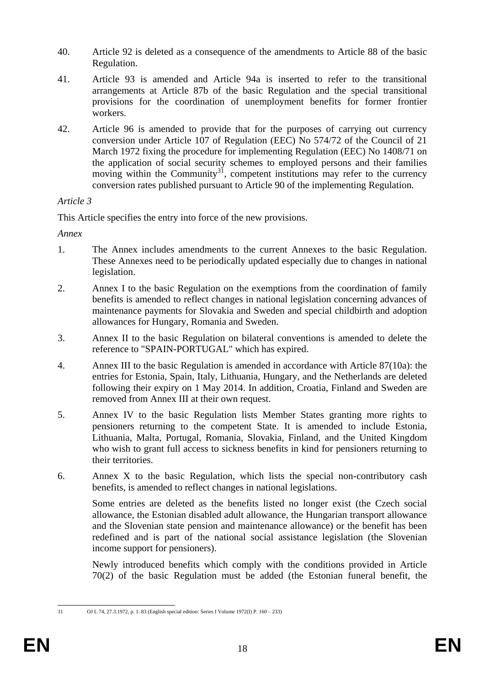- 40. Article 92 is deleted as a consequence of the amendments to Article 88 of the basic Regulation.
- 41. Article 93 is amended and Article 94a is inserted to refer to the transitional arrangements at Article 87b of the basic Regulation and the special transitional provisions for the coordination of unemployment benefits for former frontier workers.
- 42. Article 96 is amended to provide that for the purposes of carrying out currency conversion under Article 107 of Regulation (EEC) No 574/72 of the Council of 21 March 1972 fixing the procedure for implementing Regulation (EEC) No 1408/71 on the application of social security schemes to employed persons and their families moving within the Community<sup>31</sup>, competent institutions may refer to the currency conversion rates published pursuant to Article 90 of the implementing Regulation.

## *Article 3*

This Article specifies the entry into force of the new provisions.

*Annex*

- 1. The Annex includes amendments to the current Annexes to the basic Regulation. These Annexes need to be periodically updated especially due to changes in national legislation.
- 2. Annex I to the basic Regulation on the exemptions from the coordination of family benefits is amended to reflect changes in national legislation concerning advances of maintenance payments for Slovakia and Sweden and special childbirth and adoption allowances for Hungary, Romania and Sweden.
- 3. Annex II to the basic Regulation on bilateral conventions is amended to delete the reference to "SPAIN-PORTUGAL" which has expired.
- 4. Annex III to the basic Regulation is amended in accordance with Article 87(10a): the entries for Estonia, Spain, Italy, Lithuania, Hungary, and the Netherlands are deleted following their expiry on 1 May 2014. In addition, Croatia, Finland and Sweden are removed from Annex III at their own request.
- 5. Annex IV to the basic Regulation lists Member States granting more rights to pensioners returning to the competent State. It is amended to include Estonia, Lithuania, Malta, Portugal, Romania, Slovakia, Finland, and the United Kingdom who wish to grant full access to sickness benefits in kind for pensioners returning to their territories.
- 6. Annex X to the basic Regulation, which lists the special non-contributory cash benefits, is amended to reflect changes in national legislations.

Some entries are deleted as the benefits listed no longer exist (the Czech social allowance, the Estonian disabled adult allowance, the Hungarian transport allowance and the Slovenian state pension and maintenance allowance) or the benefit has been redefined and is part of the national social assistance legislation (the Slovenian income support for pensioners).

Newly introduced benefits which comply with the conditions provided in Article 70(2) of the basic Regulation must be added (the Estonian funeral benefit, the

 $\overline{31}$ 

<sup>31</sup> OJ L 74, 27.3.1972, p. 1–83 (English special edition: Series I Volume 1972(I) P. 160 – 233)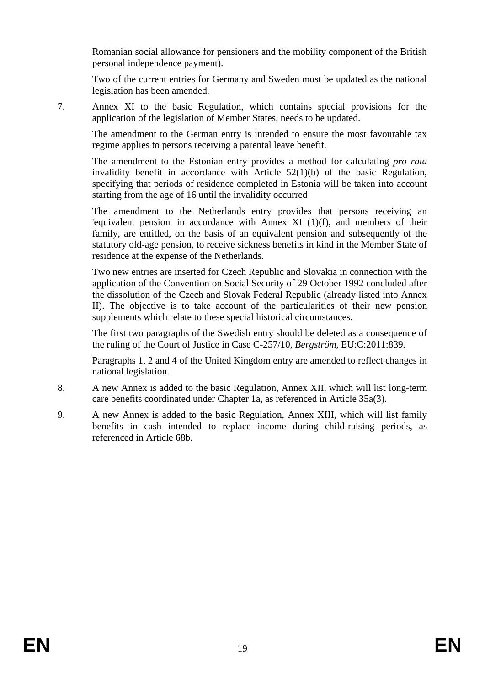Romanian social allowance for pensioners and the mobility component of the British personal independence payment).

Two of the current entries for Germany and Sweden must be updated as the national legislation has been amended.

7. Annex XI to the basic Regulation, which contains special provisions for the application of the legislation of Member States, needs to be updated.

The amendment to the German entry is intended to ensure the most favourable tax regime applies to persons receiving a parental leave benefit.

The amendment to the Estonian entry provides a method for calculating *pro rata* invalidity benefit in accordance with Article 52(1)(b) of the basic Regulation, specifying that periods of residence completed in Estonia will be taken into account starting from the age of 16 until the invalidity occurred

The amendment to the Netherlands entry provides that persons receiving an 'equivalent pension' in accordance with Annex XI (1)(f), and members of their family, are entitled, on the basis of an equivalent pension and subsequently of the statutory old-age pension, to receive sickness benefits in kind in the Member State of residence at the expense of the Netherlands.

Two new entries are inserted for Czech Republic and Slovakia in connection with the application of the Convention on Social Security of 29 October 1992 concluded after the dissolution of the Czech and Slovak Federal Republic (already listed into Annex II). The objective is to take account of the particularities of their new pension supplements which relate to these special historical circumstances.

The first two paragraphs of the Swedish entry should be deleted as a consequence of the ruling of the Court of Justice in Case C-257/10, *Bergström*, EU:C:2011:839*.*

Paragraphs 1, 2 and 4 of the United Kingdom entry are amended to reflect changes in national legislation.

- 8. A new Annex is added to the basic Regulation, Annex XII, which will list long-term care benefits coordinated under Chapter 1a, as referenced in Article 35a(3).
- 9. A new Annex is added to the basic Regulation, Annex XIII, which will list family benefits in cash intended to replace income during child-raising periods, as referenced in Article 68b.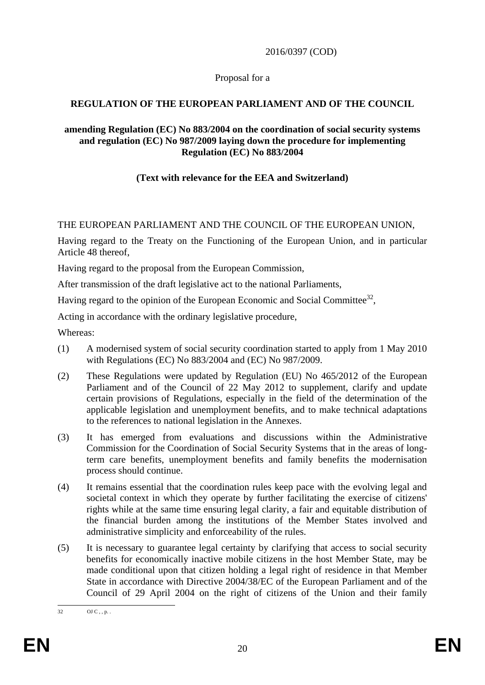### 2016/0397 (COD)

### Proposal for a

## **REGULATION OF THE EUROPEAN PARLIAMENT AND OF THE COUNCIL**

#### **amending Regulation (EC) No 883/2004 on the coordination of social security systems and regulation (EC) No 987/2009 laying down the procedure for implementing Regulation (EC) No 883/2004**

## **(Text with relevance for the EEA and Switzerland)**

## THE EUROPEAN PARLIAMENT AND THE COUNCIL OF THE EUROPEAN UNION,

Having regard to the Treaty on the Functioning of the European Union, and in particular Article 48 thereof,

Having regard to the proposal from the European Commission,

After transmission of the draft legislative act to the national Parliaments,

Having regard to the opinion of the European Economic and Social Committee<sup>32</sup>,

Acting in accordance with the ordinary legislative procedure,

Whereas:

- (1) A modernised system of social security coordination started to apply from 1 May 2010 with Regulations (EC) No 883/2004 and (EC) No 987/2009.
- (2) These Regulations were updated by Regulation (EU) No 465/2012 of the European Parliament and of the Council of 22 May 2012 to supplement, clarify and update certain provisions of Regulations, especially in the field of the determination of the applicable legislation and unemployment benefits, and to make technical adaptations to the references to national legislation in the Annexes.
- (3) It has emerged from evaluations and discussions within the Administrative Commission for the Coordination of Social Security Systems that in the areas of longterm care benefits, unemployment benefits and family benefits the modernisation process should continue.
- (4) It remains essential that the coordination rules keep pace with the evolving legal and societal context in which they operate by further facilitating the exercise of citizens' rights while at the same time ensuring legal clarity, a fair and equitable distribution of the financial burden among the institutions of the Member States involved and administrative simplicity and enforceability of the rules.
- (5) It is necessary to guarantee legal certainty by clarifying that access to social security benefits for economically inactive mobile citizens in the host Member State, may be made conditional upon that citizen holding a legal right of residence in that Member State in accordance with Directive 2004/38/EC of the European Parliament and of the Council of 29 April 2004 on the right of citizens of the Union and their family

 $32$  $OJ C$  , , p. .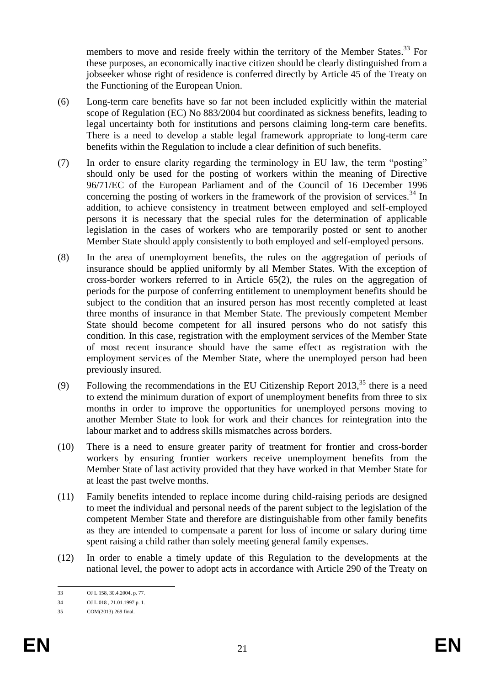members to move and reside freely within the territory of the Member States.<sup>33</sup> For these purposes, an economically inactive citizen should be clearly distinguished from a jobseeker whose right of residence is conferred directly by Article 45 of the Treaty on the Functioning of the European Union.

- (6) Long-term care benefits have so far not been included explicitly within the material scope of Regulation (EC) No 883/2004 but coordinated as sickness benefits, leading to legal uncertainty both for institutions and persons claiming long-term care benefits. There is a need to develop a stable legal framework appropriate to long-term care benefits within the Regulation to include a clear definition of such benefits.
- (7) In order to ensure clarity regarding the terminology in EU law, the term "posting" should only be used for the posting of workers within the meaning of Directive 96/71/EC of the European Parliament and of the Council of 16 December 1996 concerning the posting of workers in the framework of the provision of services.<sup>34</sup> In addition, to achieve consistency in treatment between employed and self-employed persons it is necessary that the special rules for the determination of applicable legislation in the cases of workers who are temporarily posted or sent to another Member State should apply consistently to both employed and self-employed persons.
- (8) In the area of unemployment benefits, the rules on the aggregation of periods of insurance should be applied uniformly by all Member States. With the exception of cross-border workers referred to in Article 65(2), the rules on the aggregation of periods for the purpose of conferring entitlement to unemployment benefits should be subject to the condition that an insured person has most recently completed at least three months of insurance in that Member State. The previously competent Member State should become competent for all insured persons who do not satisfy this condition. In this case, registration with the employment services of the Member State of most recent insurance should have the same effect as registration with the employment services of the Member State, where the unemployed person had been previously insured.
- (9) Following the recommendations in the EU Citizenship Report  $2013<sup>35</sup>$ , there is a need to extend the minimum duration of export of unemployment benefits from three to six months in order to improve the opportunities for unemployed persons moving to another Member State to look for work and their chances for reintegration into the labour market and to address skills mismatches across borders.
- (10) There is a need to ensure greater parity of treatment for frontier and cross-border workers by ensuring frontier workers receive unemployment benefits from the Member State of last activity provided that they have worked in that Member State for at least the past twelve months.
- (11) Family benefits intended to replace income during child-raising periods are designed to meet the individual and personal needs of the parent subject to the legislation of the competent Member State and therefore are distinguishable from other family benefits as they are intended to compensate a parent for loss of income or salary during time spent raising a child rather than solely meeting general family expenses.
- (12) In order to enable a timely update of this Regulation to the developments at the national level, the power to adopt acts in accordance with Article 290 of the Treaty on

 $33$ 33 OJ L 158, 30.4.2004, p. 77.

<sup>34</sup> OJ L 018 , 21.01.1997 p. 1.

<sup>35</sup> COM(2013) 269 final.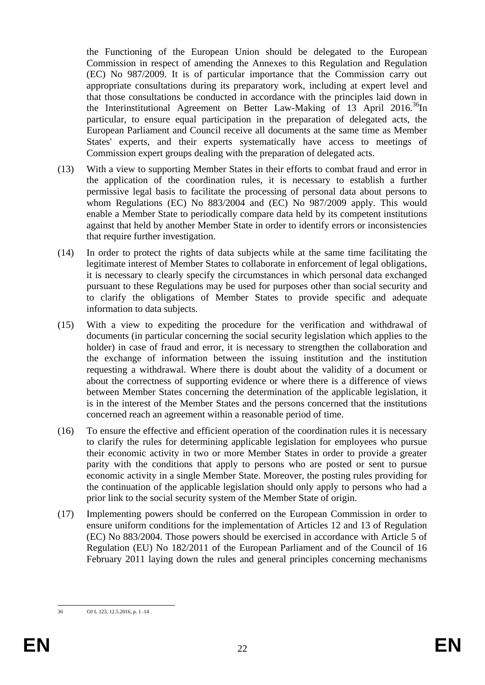the Functioning of the European Union should be delegated to the European Commission in respect of amending the Annexes to this Regulation and Regulation (EC) No 987/2009. It is of particular importance that the Commission carry out appropriate consultations during its preparatory work, including at expert level and that those consultations be conducted in accordance with the principles laid down in the Interinstitutional Agreement on Better Law-Making of 13 April 2016.<sup>36</sup>In particular, to ensure equal participation in the preparation of delegated acts, the European Parliament and Council receive all documents at the same time as Member States' experts, and their experts systematically have access to meetings of Commission expert groups dealing with the preparation of delegated acts.

- (13) With a view to supporting Member States in their efforts to combat fraud and error in the application of the coordination rules, it is necessary to establish a further permissive legal basis to facilitate the processing of personal data about persons to whom Regulations (EC) No 883/2004 and (EC) No 987/2009 apply. This would enable a Member State to periodically compare data held by its competent institutions against that held by another Member State in order to identify errors or inconsistencies that require further investigation.
- (14) In order to protect the rights of data subjects while at the same time facilitating the legitimate interest of Member States to collaborate in enforcement of legal obligations, it is necessary to clearly specify the circumstances in which personal data exchanged pursuant to these Regulations may be used for purposes other than social security and to clarify the obligations of Member States to provide specific and adequate information to data subjects.
- (15) With a view to expediting the procedure for the verification and withdrawal of documents (in particular concerning the social security legislation which applies to the holder) in case of fraud and error, it is necessary to strengthen the collaboration and the exchange of information between the issuing institution and the institution requesting a withdrawal. Where there is doubt about the validity of a document or about the correctness of supporting evidence or where there is a difference of views between Member States concerning the determination of the applicable legislation, it is in the interest of the Member States and the persons concerned that the institutions concerned reach an agreement within a reasonable period of time.
- (16) To ensure the effective and efficient operation of the coordination rules it is necessary to clarify the rules for determining applicable legislation for employees who pursue their economic activity in two or more Member States in order to provide a greater parity with the conditions that apply to persons who are posted or sent to pursue economic activity in a single Member State. Moreover, the posting rules providing for the continuation of the applicable legislation should only apply to persons who had a prior link to the social security system of the Member State of origin.
- (17) Implementing powers should be conferred on the European Commission in order to ensure uniform conditions for the implementation of Articles 12 and 13 of Regulation (EC) No 883/2004. Those powers should be exercised in accordance with Article 5 of Regulation (EU) No 182/2011 of the European Parliament and of the Council of 16 February 2011 laying down the rules and general principles concerning mechanisms

 $36$ OJ L 123, 12.5.2016, p. 1–14.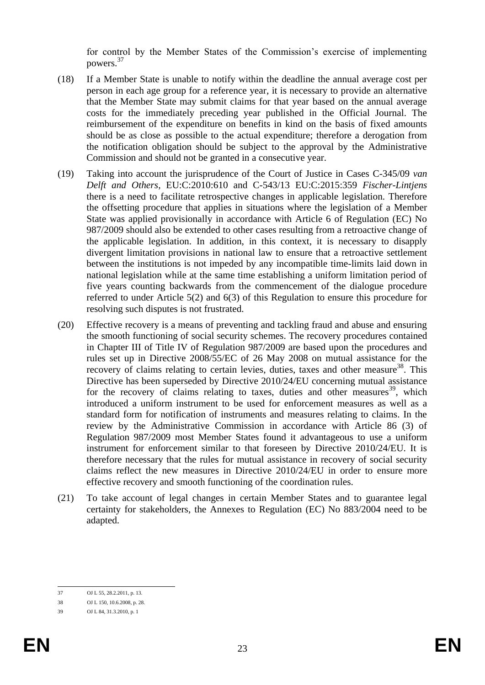for control by the Member States of the Commission's exercise of implementing powers.<sup>37</sup>

- (18) If a Member State is unable to notify within the deadline the annual average cost per person in each age group for a reference year, it is necessary to provide an alternative that the Member State may submit claims for that year based on the annual average costs for the immediately preceding year published in the Official Journal. The reimbursement of the expenditure on benefits in kind on the basis of fixed amounts should be as close as possible to the actual expenditure; therefore a derogation from the notification obligation should be subject to the approval by the Administrative Commission and should not be granted in a consecutive year.
- (19) Taking into account the jurisprudence of the Court of Justice in Cases C-345/09 *van Delft and Others*, EU:C:2010:610 and C-543/13 EU:C:2015:359 *Fischer-Lintjens*  there is a need to facilitate retrospective changes in applicable legislation. Therefore the offsetting procedure that applies in situations where the legislation of a Member State was applied provisionally in accordance with Article 6 of Regulation (EC) No 987/2009 should also be extended to other cases resulting from a retroactive change of the applicable legislation. In addition, in this context, it is necessary to disapply divergent limitation provisions in national law to ensure that a retroactive settlement between the institutions is not impeded by any incompatible time-limits laid down in national legislation while at the same time establishing a uniform limitation period of five years counting backwards from the commencement of the dialogue procedure referred to under Article 5(2) and 6(3) of this Regulation to ensure this procedure for resolving such disputes is not frustrated.
- (20) Effective recovery is a means of preventing and tackling fraud and abuse and ensuring the smooth functioning of social security schemes. The recovery procedures contained in Chapter III of Title IV of Regulation 987/2009 are based upon the procedures and rules set up in Directive 2008/55/EC of 26 May 2008 on mutual assistance for the recovery of claims relating to certain levies, duties, taxes and other measure<sup>38</sup>. This Directive has been superseded by Directive 2010/24/EU concerning mutual assistance for the recovery of claims relating to taxes, duties and other measures<sup>39</sup>, which introduced a uniform instrument to be used for enforcement measures as well as a standard form for notification of instruments and measures relating to claims. In the review by the Administrative Commission in accordance with Article 86 (3) of Regulation 987/2009 most Member States found it advantageous to use a uniform instrument for enforcement similar to that foreseen by Directive 2010/24/EU. It is therefore necessary that the rules for mutual assistance in recovery of social security claims reflect the new measures in Directive 2010/24/EU in order to ensure more effective recovery and smooth functioning of the coordination rules.
- (21) To take account of legal changes in certain Member States and to guarantee legal certainty for stakeholders, the Annexes to Regulation (EC) No 883/2004 need to be adapted.

 $37$ OJ L 55, 28.2.2011, p. 13.

<sup>38</sup> OJ L 150, 10.6.2008, p. 28.

<sup>39</sup> OJ L 84, 31.3.2010, p. 1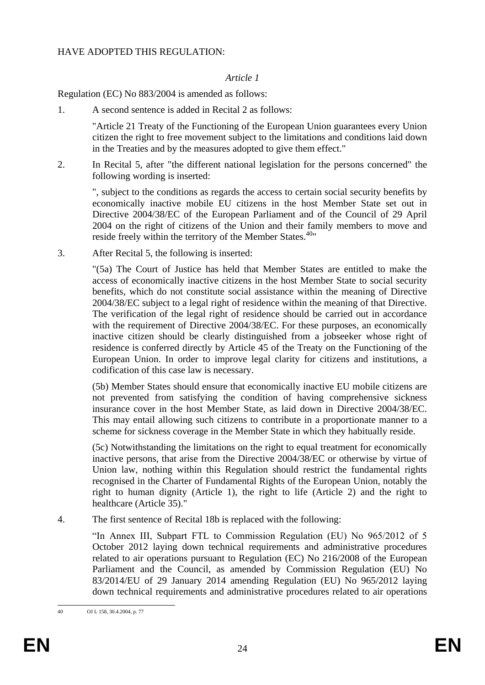### HAVE ADOPTED THIS REGULATION:

### *Article 1*

### Regulation (EC) No 883/2004 is amended as follows:

1. A second sentence is added in Recital 2 as follows:

"Article 21 Treaty of the Functioning of the European Union guarantees every Union citizen the right to free movement subject to the limitations and conditions laid down in the Treaties and by the measures adopted to give them effect."

2. In Recital 5, after "the different national legislation for the persons concerned" the following wording is inserted:

", subject to the conditions as regards the access to certain social security benefits by economically inactive mobile EU citizens in the host Member State set out in Directive 2004/38/EC of the European Parliament and of the Council of 29 April 2004 on the right of citizens of the Union and their family members to move and reside freely within the territory of the Member States.<sup>40</sup>"

3. After Recital 5, the following is inserted:

"(5a) The Court of Justice has held that Member States are entitled to make the access of economically inactive citizens in the host Member State to social security benefits, which do not constitute social assistance within the meaning of Directive 2004/38/EC subject to a legal right of residence within the meaning of that Directive. The verification of the legal right of residence should be carried out in accordance with the requirement of Directive 2004/38/EC. For these purposes, an economically inactive citizen should be clearly distinguished from a jobseeker whose right of residence is conferred directly by Article 45 of the Treaty on the Functioning of the European Union. In order to improve legal clarity for citizens and institutions, a codification of this case law is necessary.

(5b) Member States should ensure that economically inactive EU mobile citizens are not prevented from satisfying the condition of having comprehensive sickness insurance cover in the host Member State, as laid down in Directive 2004/38/EC. This may entail allowing such citizens to contribute in a proportionate manner to a scheme for sickness coverage in the Member State in which they habitually reside.

(5c) Notwithstanding the limitations on the right to equal treatment for economically inactive persons, that arise from the Directive 2004/38/EC or otherwise by virtue of Union law, nothing within this Regulation should restrict the fundamental rights recognised in the Charter of Fundamental Rights of the European Union, notably the right to human dignity (Article 1), the right to life (Article 2) and the right to healthcare (Article 35)."

4. The first sentence of Recital 18b is replaced with the following:

"In Annex III, Subpart FTL to Commission Regulation (EU) No 965/2012 of 5 October 2012 laying down technical requirements and administrative procedures related to air operations pursuant to Regulation (EC) No 216/2008 of the European Parliament and the Council, as amended by Commission Regulation (EU) No 83/2014/EU of 29 January 2014 amending Regulation (EU) No 965/2012 laying down technical requirements and administrative procedures related to air operations

 $40$ 40 OJ L 158, 30.4.2004, p. 77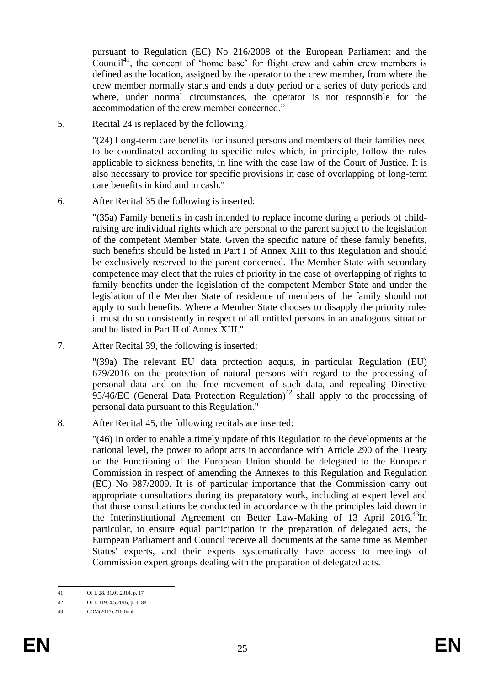pursuant to Regulation (EC) No 216/2008 of the European Parliament and the Council<sup>41</sup>, the concept of 'home base' for flight crew and cabin crew members is defined as the location, assigned by the operator to the crew member, from where the crew member normally starts and ends a duty period or a series of duty periods and where, under normal circumstances, the operator is not responsible for the accommodation of the crew member concerned."

5. Recital 24 is replaced by the following:

"(24) Long-term care benefits for insured persons and members of their families need to be coordinated according to specific rules which, in principle, follow the rules applicable to sickness benefits, in line with the case law of the Court of Justice. It is also necessary to provide for specific provisions in case of overlapping of long-term care benefits in kind and in cash."

6. After Recital 35 the following is inserted:

"(35a) Family benefits in cash intended to replace income during a periods of childraising are individual rights which are personal to the parent subject to the legislation of the competent Member State. Given the specific nature of these family benefits, such benefits should be listed in Part I of Annex XIII to this Regulation and should be exclusively reserved to the parent concerned. The Member State with secondary competence may elect that the rules of priority in the case of overlapping of rights to family benefits under the legislation of the competent Member State and under the legislation of the Member State of residence of members of the family should not apply to such benefits. Where a Member State chooses to disapply the priority rules it must do so consistently in respect of all entitled persons in an analogous situation and be listed in Part II of Annex XIII."

7. After Recital 39, the following is inserted:

"(39a) The relevant EU data protection acquis, in particular Regulation (EU) 679/2016 on the protection of natural persons with regard to the processing of personal data and on the free movement of such data, and repealing Directive 95/46/EC (General Data Protection Regulation)<sup>42</sup> shall apply to the processing of personal data pursuant to this Regulation."

8. After Recital 45, the following recitals are inserted:

"(46) In order to enable a timely update of this Regulation to the developments at the national level, the power to adopt acts in accordance with Article 290 of the Treaty on the Functioning of the European Union should be delegated to the European Commission in respect of amending the Annexes to this Regulation and Regulation (EC) No 987/2009. It is of particular importance that the Commission carry out appropriate consultations during its preparatory work, including at expert level and that those consultations be conducted in accordance with the principles laid down in the Interinstitutional Agreement on Better Law-Making of 13 April 2016.<sup>43</sup>In particular, to ensure equal participation in the preparation of delegated acts, the European Parliament and Council receive all documents at the same time as Member States' experts, and their experts systematically have access to meetings of Commission expert groups dealing with the preparation of delegated acts.

 $\overline{A1}$ OJ L 28, 31.01.2014, p. 17

<sup>42</sup> OJ L 119, 4.5.2016, p. 1–88

<sup>43</sup> COM(2015) 216 final.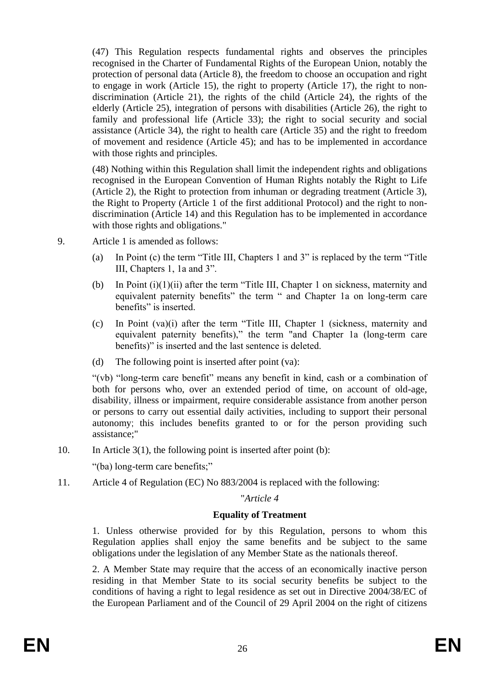(47) This Regulation respects fundamental rights and observes the principles recognised in the Charter of Fundamental Rights of the European Union, notably the protection of personal data (Article 8), the freedom to choose an occupation and right to engage in work (Article 15), the right to property (Article 17), the right to nondiscrimination (Article 21), the rights of the child (Article 24), the rights of the elderly (Article 25), integration of persons with disabilities (Article 26), the right to family and professional life (Article 33); the right to social security and social assistance (Article 34), the right to health care (Article 35) and the right to freedom of movement and residence (Article 45); and has to be implemented in accordance with those rights and principles.

(48) Nothing within this Regulation shall limit the independent rights and obligations recognised in the European Convention of Human Rights notably the Right to Life (Article 2), the Right to protection from inhuman or degrading treatment (Article 3), the Right to Property (Article 1 of the first additional Protocol) and the right to nondiscrimination (Article 14) and this Regulation has to be implemented in accordance with those rights and obligations."

- 9. Article 1 is amended as follows:
	- (a) In Point (c) the term "Title III, Chapters 1 and 3" is replaced by the term "Title III, Chapters 1, 1a and 3".
	- (b) In Point (i)(1)(ii) after the term "Title III, Chapter 1 on sickness, maternity and equivalent paternity benefits" the term " and Chapter 1a on long-term care benefits" is inserted.
	- (c) In Point (va)(i) after the term "Title III, Chapter 1 (sickness, maternity and equivalent paternity benefits)," the term "and Chapter 1a (long-term care benefits)" is inserted and the last sentence is deleted.
	- (d) The following point is inserted after point (va):

"(vb) "long-term care benefit" means any benefit in kind, cash or a combination of both for persons who, over an extended period of time, on account of old-age, disability, illness or impairment, require considerable assistance from another person or persons to carry out essential daily activities, including to support their personal autonomy; this includes benefits granted to or for the person providing such assistance;"

10. In Article 3(1), the following point is inserted after point (b):

"(ba) long-term care benefits;"

11. Article 4 of Regulation (EC) No 883/2004 is replaced with the following:

#### "*Article 4*

#### **Equality of Treatment**

1. Unless otherwise provided for by this Regulation, persons to whom this Regulation applies shall enjoy the same benefits and be subject to the same obligations under the legislation of any Member State as the nationals thereof.

2. A Member State may require that the access of an economically inactive person residing in that Member State to its social security benefits be subject to the conditions of having a right to legal residence as set out in Directive 2004/38/EC of the European Parliament and of the Council of 29 April 2004 on the right of citizens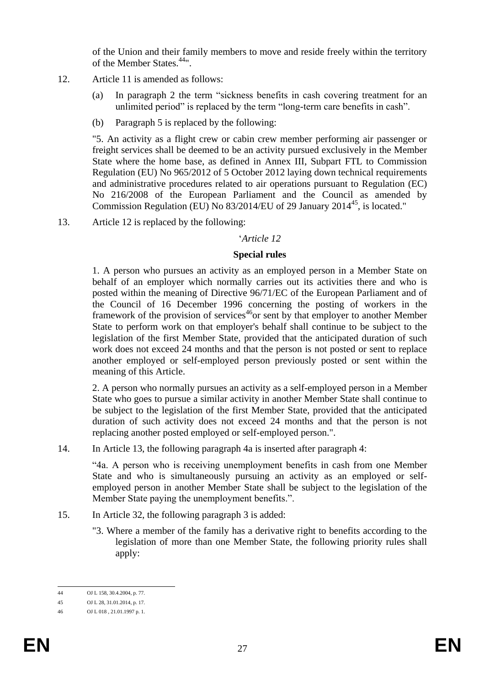of the Union and their family members to move and reside freely within the territory of the Member States.<sup>44</sup>".

- 12. Article 11 is amended as follows:
	- (a) In paragraph 2 the term "sickness benefits in cash covering treatment for an unlimited period" is replaced by the term "long-term care benefits in cash".
	- (b) Paragraph 5 is replaced by the following:

"5. An activity as a flight crew or cabin crew member performing air passenger or freight services shall be deemed to be an activity pursued exclusively in the Member State where the home base, as defined in Annex III, Subpart FTL to Commission Regulation (EU) No 965/2012 of 5 October 2012 laying down technical requirements and administrative procedures related to air operations pursuant to Regulation (EC) No 216/2008 of the European Parliament and the Council as amended by Commission Regulation (EU) No  $83/2014$ /EU of 29 January 2014<sup>45</sup>, is located."

13. Article 12 is replaced by the following:

## '*Article 12*

#### **Special rules**

1. A person who pursues an activity as an employed person in a Member State on behalf of an employer which normally carries out its activities there and who is posted within the meaning of Directive 96/71/EC of the European Parliament and of the Council of 16 December 1996 concerning the posting of workers in the framework of the provision of services<sup>46</sup>or sent by that employer to another Member State to perform work on that employer's behalf shall continue to be subject to the legislation of the first Member State, provided that the anticipated duration of such work does not exceed 24 months and that the person is not posted or sent to replace another employed or self-employed person previously posted or sent within the meaning of this Article.

2. A person who normally pursues an activity as a self-employed person in a Member State who goes to pursue a similar activity in another Member State shall continue to be subject to the legislation of the first Member State, provided that the anticipated duration of such activity does not exceed 24 months and that the person is not replacing another posted employed or self-employed person.".

14. In Article 13, the following paragraph 4a is inserted after paragraph 4:

"4a. A person who is receiving unemployment benefits in cash from one Member State and who is simultaneously pursuing an activity as an employed or selfemployed person in another Member State shall be subject to the legislation of the Member State paying the unemployment benefits.".

- 15. In Article 32, the following paragraph 3 is added:
	- "3. Where a member of the family has a derivative right to benefits according to the legislation of more than one Member State, the following priority rules shall apply:

 $\overline{A}A$ OJ L 158, 30.4.2004, p. 77.

<sup>45</sup> OJ L 28, 31.01.2014, p. 17.

<sup>46</sup> OJ L 018 , 21.01.1997 p. 1.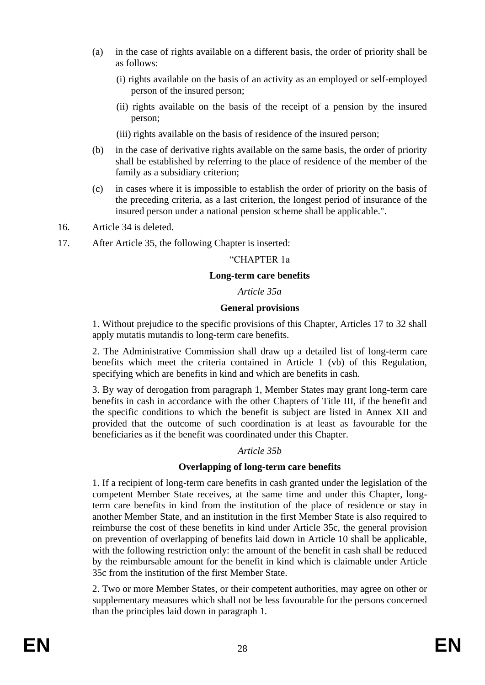- (a) in the case of rights available on a different basis, the order of priority shall be as follows:
	- (i) rights available on the basis of an activity as an employed or self-employed person of the insured person;
	- (ii) rights available on the basis of the receipt of a pension by the insured person;

(iii) rights available on the basis of residence of the insured person;

- (b) in the case of derivative rights available on the same basis, the order of priority shall be established by referring to the place of residence of the member of the family as a subsidiary criterion;
- (c) in cases where it is impossible to establish the order of priority on the basis of the preceding criteria, as a last criterion, the longest period of insurance of the insured person under a national pension scheme shall be applicable.".
- 16. Article 34 is deleted.
- 17. After Article 35, the following Chapter is inserted:

### "CHAPTER 1a

### **Long-term care benefits**

### *Article 35a*

### **General provisions**

1. Without prejudice to the specific provisions of this Chapter, Articles 17 to 32 shall apply mutatis mutandis to long-term care benefits.

2. The Administrative Commission shall draw up a detailed list of long-term care benefits which meet the criteria contained in Article 1 (vb) of this Regulation, specifying which are benefits in kind and which are benefits in cash.

3. By way of derogation from paragraph 1, Member States may grant long-term care benefits in cash in accordance with the other Chapters of Title III, if the benefit and the specific conditions to which the benefit is subject are listed in Annex XII and provided that the outcome of such coordination is at least as favourable for the beneficiaries as if the benefit was coordinated under this Chapter.

## *Article 35b*

## **Overlapping of long-term care benefits**

1. If a recipient of long-term care benefits in cash granted under the legislation of the competent Member State receives, at the same time and under this Chapter, longterm care benefits in kind from the institution of the place of residence or stay in another Member State, and an institution in the first Member State is also required to reimburse the cost of these benefits in kind under Article 35c, the general provision on prevention of overlapping of benefits laid down in Article 10 shall be applicable, with the following restriction only: the amount of the benefit in cash shall be reduced by the reimbursable amount for the benefit in kind which is claimable under Article 35c from the institution of the first Member State.

2. Two or more Member States, or their competent authorities, may agree on other or supplementary measures which shall not be less favourable for the persons concerned than the principles laid down in paragraph 1.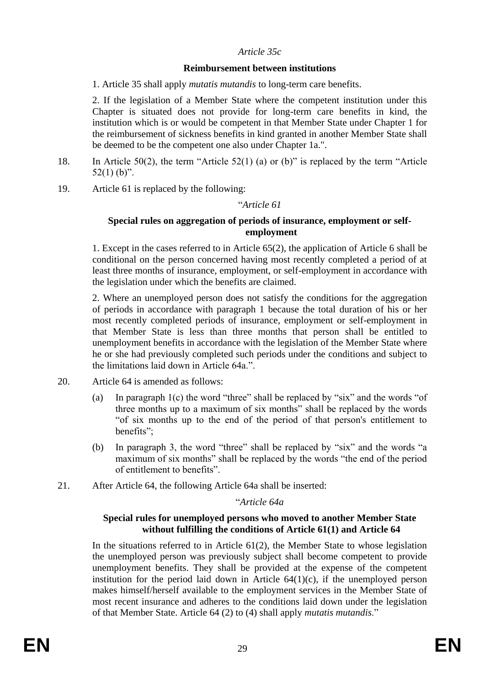### *Article 35c*

### **Reimbursement between institutions**

1. Article 35 shall apply *mutatis mutandis* to long-term care benefits.

2. If the legislation of a Member State where the competent institution under this Chapter is situated does not provide for long-term care benefits in kind, the institution which is or would be competent in that Member State under Chapter 1 for the reimbursement of sickness benefits in kind granted in another Member State shall be deemed to be the competent one also under Chapter 1a.".

- 18. In Article 50(2), the term "Article 52(1) (a) or (b)" is replaced by the term "Article  $52(1)$  (b)".
- 19. Article 61 is replaced by the following:

### "*Article 61*

### **Special rules on aggregation of periods of insurance, employment or selfemployment**

1. Except in the cases referred to in Article 65(2), the application of Article 6 shall be conditional on the person concerned having most recently completed a period of at least three months of insurance, employment, or self-employment in accordance with the legislation under which the benefits are claimed.

2. Where an unemployed person does not satisfy the conditions for the aggregation of periods in accordance with paragraph 1 because the total duration of his or her most recently completed periods of insurance, employment or self-employment in that Member State is less than three months that person shall be entitled to unemployment benefits in accordance with the legislation of the Member State where he or she had previously completed such periods under the conditions and subject to the limitations laid down in Article 64a.".

- 20. Article 64 is amended as follows:
	- (a) In paragraph 1(c) the word "three" shall be replaced by "six" and the words "of three months up to a maximum of six months" shall be replaced by the words "of six months up to the end of the period of that person's entitlement to benefits";
	- (b) In paragraph 3, the word "three" shall be replaced by "six" and the words "a maximum of six months" shall be replaced by the words "the end of the period of entitlement to benefits".
- 21. After Article 64, the following Article 64a shall be inserted:

#### "*Article 64a*

#### **Special rules for unemployed persons who moved to another Member State without fulfilling the conditions of Article 61(1) and Article 64**

In the situations referred to in Article  $61(2)$ , the Member State to whose legislation the unemployed person was previously subject shall become competent to provide unemployment benefits. They shall be provided at the expense of the competent institution for the period laid down in Article  $64(1)(c)$ , if the unemployed person makes himself/herself available to the employment services in the Member State of most recent insurance and adheres to the conditions laid down under the legislation of that Member State. Article 64 (2) to (4) shall apply *mutatis mutandis*."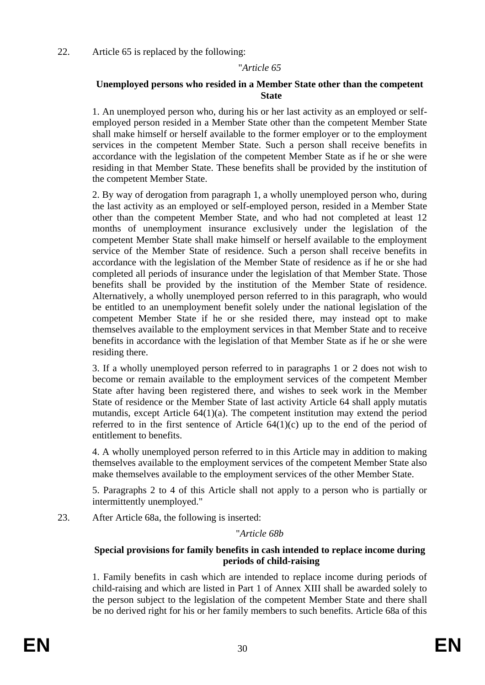22. Article 65 is replaced by the following:

### "*Article 65*

### **Unemployed persons who resided in a Member State other than the competent State**

1. An unemployed person who, during his or her last activity as an employed or selfemployed person resided in a Member State other than the competent Member State shall make himself or herself available to the former employer or to the employment services in the competent Member State. Such a person shall receive benefits in accordance with the legislation of the competent Member State as if he or she were residing in that Member State. These benefits shall be provided by the institution of the competent Member State.

2. By way of derogation from paragraph 1, a wholly unemployed person who, during the last activity as an employed or self-employed person, resided in a Member State other than the competent Member State, and who had not completed at least 12 months of unemployment insurance exclusively under the legislation of the competent Member State shall make himself or herself available to the employment service of the Member State of residence. Such a person shall receive benefits in accordance with the legislation of the Member State of residence as if he or she had completed all periods of insurance under the legislation of that Member State. Those benefits shall be provided by the institution of the Member State of residence. Alternatively, a wholly unemployed person referred to in this paragraph, who would be entitled to an unemployment benefit solely under the national legislation of the competent Member State if he or she resided there, may instead opt to make themselves available to the employment services in that Member State and to receive benefits in accordance with the legislation of that Member State as if he or she were residing there.

3. If a wholly unemployed person referred to in paragraphs 1 or 2 does not wish to become or remain available to the employment services of the competent Member State after having been registered there, and wishes to seek work in the Member State of residence or the Member State of last activity Article 64 shall apply mutatis mutandis, except Article 64(1)(a). The competent institution may extend the period referred to in the first sentence of Article  $64(1)(c)$  up to the end of the period of entitlement to benefits.

4. A wholly unemployed person referred to in this Article may in addition to making themselves available to the employment services of the competent Member State also make themselves available to the employment services of the other Member State.

5. Paragraphs 2 to 4 of this Article shall not apply to a person who is partially or intermittently unemployed."

23. After Article 68a, the following is inserted:

"*Article 68b*

## **Special provisions for family benefits in cash intended to replace income during periods of child-raising**

1. Family benefits in cash which are intended to replace income during periods of child-raising and which are listed in Part 1 of Annex XIII shall be awarded solely to the person subject to the legislation of the competent Member State and there shall be no derived right for his or her family members to such benefits. Article 68a of this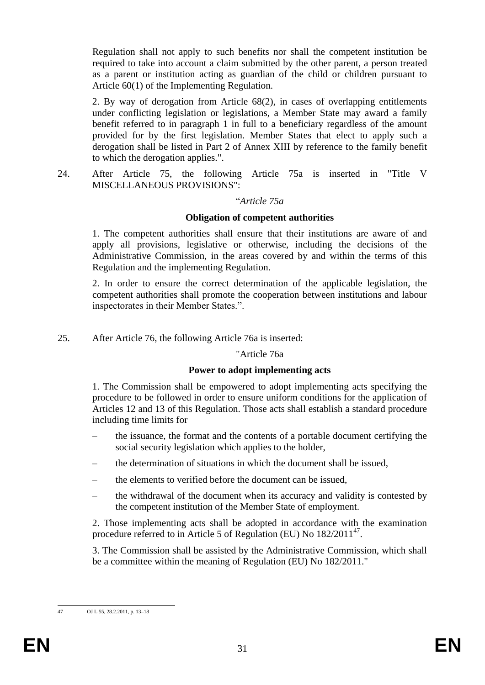Regulation shall not apply to such benefits nor shall the competent institution be required to take into account a claim submitted by the other parent, a person treated as a parent or institution acting as guardian of the child or children pursuant to Article 60(1) of the Implementing Regulation.

2. By way of derogation from Article 68(2), in cases of overlapping entitlements under conflicting legislation or legislations, a Member State may award a family benefit referred to in paragraph 1 in full to a beneficiary regardless of the amount provided for by the first legislation. Member States that elect to apply such a derogation shall be listed in Part 2 of Annex XIII by reference to the family benefit to which the derogation applies.".

24. After Article 75, the following Article 75a is inserted in "Title V MISCELLANEOUS PROVISIONS":

#### "*Article 75a*

#### **Obligation of competent authorities**

1. The competent authorities shall ensure that their institutions are aware of and apply all provisions, legislative or otherwise, including the decisions of the Administrative Commission, in the areas covered by and within the terms of this Regulation and the implementing Regulation.

2. In order to ensure the correct determination of the applicable legislation, the competent authorities shall promote the cooperation between institutions and labour inspectorates in their Member States.".

25. After Article 76, the following Article 76a is inserted:

#### "Article 76a

#### **Power to adopt implementing acts**

1. The Commission shall be empowered to adopt implementing acts specifying the procedure to be followed in order to ensure uniform conditions for the application of Articles 12 and 13 of this Regulation. Those acts shall establish a standard procedure including time limits for

- the issuance, the format and the contents of a portable document certifying the social security legislation which applies to the holder,
- the determination of situations in which the document shall be issued,
- the elements to verified before the document can be issued,
- the withdrawal of the document when its accuracy and validity is contested by the competent institution of the Member State of employment.

2. Those implementing acts shall be adopted in accordance with the examination procedure referred to in Article 5 of Regulation (EU) No 182/2011<sup>47</sup>.

3. The Commission shall be assisted by the Administrative Commission, which shall be a committee within the meaning of Regulation (EU) No 182/2011."

 $47$ OJ L 55, 28.2.2011, p. 13–18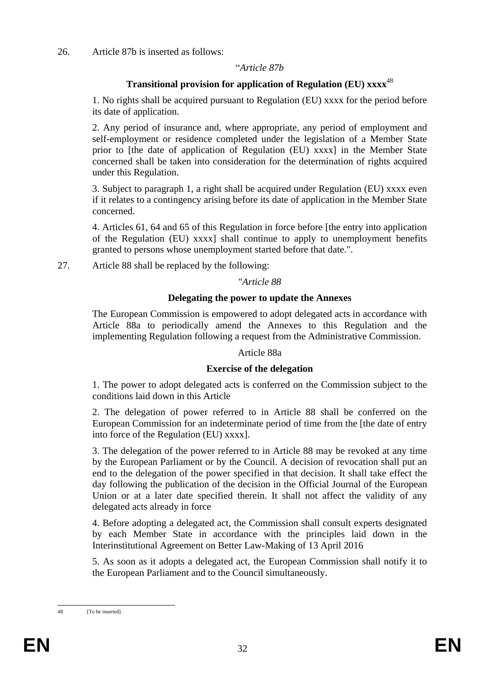### 26. Article 87b is inserted as follows:

### "*Article 87b*

## **Transitional provision for application of Regulation (EU) xxxx**<sup>48</sup>

1. No rights shall be acquired pursuant to Regulation (EU) xxxx for the period before its date of application.

2. Any period of insurance and, where appropriate, any period of employment and self-employment or residence completed under the legislation of a Member State prior to [the date of application of Regulation (EU) xxxx] in the Member State concerned shall be taken into consideration for the determination of rights acquired under this Regulation.

3. Subject to paragraph 1, a right shall be acquired under Regulation (EU) xxxx even if it relates to a contingency arising before its date of application in the Member State concerned.

4. Articles 61, 64 and 65 of this Regulation in force before [the entry into application of the Regulation (EU) xxxx] shall continue to apply to unemployment benefits granted to persons whose unemployment started before that date.".

27. Article 88 shall be replaced by the following:

#### "*Article 88*

### **Delegating the power to update the Annexes**

The European Commission is empowered to adopt delegated acts in accordance with Article 88a to periodically amend the Annexes to this Regulation and the implementing Regulation following a request from the Administrative Commission.

#### Article 88a

#### **Exercise of the delegation**

1. The power to adopt delegated acts is conferred on the Commission subject to the conditions laid down in this Article

2. The delegation of power referred to in Article 88 shall be conferred on the European Commission for an indeterminate period of time from the [the date of entry into force of the Regulation (EU) xxxx].

3. The delegation of the power referred to in Article 88 may be revoked at any time by the European Parliament or by the Council. A decision of revocation shall put an end to the delegation of the power specified in that decision. It shall take effect the day following the publication of the decision in the Official Journal of the European Union or at a later date specified therein. It shall not affect the validity of any delegated acts already in force

4. Before adopting a delegated act, the Commission shall consult experts designated by each Member State in accordance with the principles laid down in the Interinstitutional Agreement on Better Law-Making of 13 April 2016

5. As soon as it adopts a delegated act, the European Commission shall notify it to the European Parliament and to the Council simultaneously.

<sup>48</sup> [To be inserted].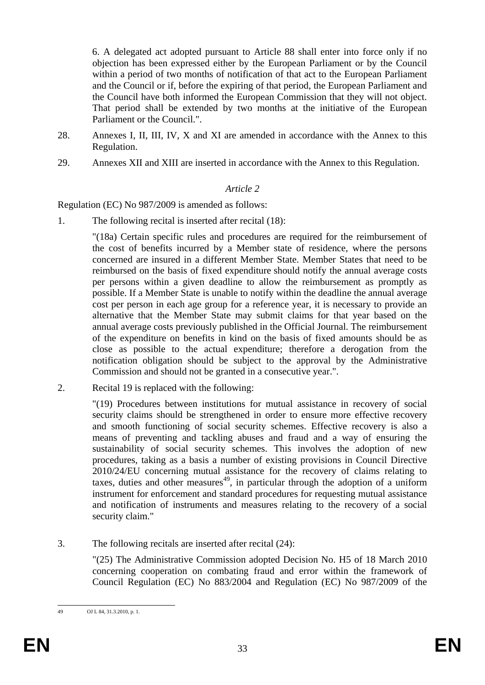6. A delegated act adopted pursuant to Article 88 shall enter into force only if no objection has been expressed either by the European Parliament or by the Council within a period of two months of notification of that act to the European Parliament and the Council or if, before the expiring of that period, the European Parliament and the Council have both informed the European Commission that they will not object. That period shall be extended by two months at the initiative of the European Parliament or the Council.".

- 28. Annexes I, II, III, IV, X and XI are amended in accordance with the Annex to this Regulation.
- 29. Annexes XII and XIII are inserted in accordance with the Annex to this Regulation.

#### *Article 2*

Regulation (EC) No 987/2009 is amended as follows:

1. The following recital is inserted after recital (18):

"(18a) Certain specific rules and procedures are required for the reimbursement of the cost of benefits incurred by a Member state of residence, where the persons concerned are insured in a different Member State. Member States that need to be reimbursed on the basis of fixed expenditure should notify the annual average costs per persons within a given deadline to allow the reimbursement as promptly as possible. If a Member State is unable to notify within the deadline the annual average cost per person in each age group for a reference year, it is necessary to provide an alternative that the Member State may submit claims for that year based on the annual average costs previously published in the Official Journal. The reimbursement of the expenditure on benefits in kind on the basis of fixed amounts should be as close as possible to the actual expenditure; therefore a derogation from the notification obligation should be subject to the approval by the Administrative Commission and should not be granted in a consecutive year.".

2. Recital 19 is replaced with the following:

"(19) Procedures between institutions for mutual assistance in recovery of social security claims should be strengthened in order to ensure more effective recovery and smooth functioning of social security schemes. Effective recovery is also a means of preventing and tackling abuses and fraud and a way of ensuring the sustainability of social security schemes. This involves the adoption of new procedures, taking as a basis a number of existing provisions in Council Directive 2010/24/EU concerning mutual assistance for the recovery of claims relating to taxes, duties and other measures<sup>49</sup>, in particular through the adoption of a uniform instrument for enforcement and standard procedures for requesting mutual assistance and notification of instruments and measures relating to the recovery of a social security claim."

3. The following recitals are inserted after recital (24):

"(25) The Administrative Commission adopted Decision No. H5 of 18 March 2010 concerning cooperation on combating fraud and error within the framework of Council Regulation (EC) No 883/2004 and Regulation (EC) No 987/2009 of the

<sup>49</sup> OJ L 84, 31.3.2010, p. 1.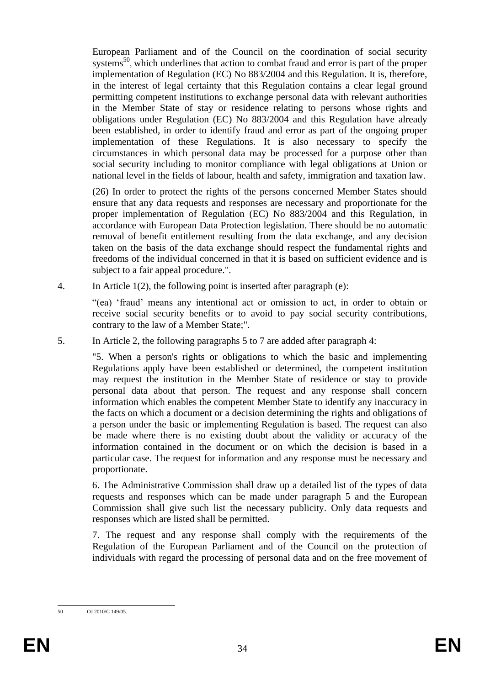European Parliament and of the Council on the coordination of social security systems<sup>50</sup>, which underlines that action to combat fraud and error is part of the proper implementation of Regulation (EC) No 883/2004 and this Regulation. It is, therefore, in the interest of legal certainty that this Regulation contains a clear legal ground permitting competent institutions to exchange personal data with relevant authorities in the Member State of stay or residence relating to persons whose rights and obligations under Regulation (EC) No 883/2004 and this Regulation have already been established, in order to identify fraud and error as part of the ongoing proper implementation of these Regulations. It is also necessary to specify the circumstances in which personal data may be processed for a purpose other than social security including to monitor compliance with legal obligations at Union or national level in the fields of labour, health and safety, immigration and taxation law.

(26) In order to protect the rights of the persons concerned Member States should ensure that any data requests and responses are necessary and proportionate for the proper implementation of Regulation (EC) No 883/2004 and this Regulation, in accordance with European Data Protection legislation. There should be no automatic removal of benefit entitlement resulting from the data exchange, and any decision taken on the basis of the data exchange should respect the fundamental rights and freedoms of the individual concerned in that it is based on sufficient evidence and is subject to a fair appeal procedure.".

4. In Article 1(2), the following point is inserted after paragraph (e):

"(ea) 'fraud' means any intentional act or omission to act, in order to obtain or receive social security benefits or to avoid to pay social security contributions, contrary to the law of a Member State;".

5. In Article 2, the following paragraphs 5 to 7 are added after paragraph 4:

"5. When a person's rights or obligations to which the basic and implementing Regulations apply have been established or determined, the competent institution may request the institution in the Member State of residence or stay to provide personal data about that person. The request and any response shall concern information which enables the competent Member State to identify any inaccuracy in the facts on which a document or a decision determining the rights and obligations of a person under the basic or implementing Regulation is based. The request can also be made where there is no existing doubt about the validity or accuracy of the information contained in the document or on which the decision is based in a particular case. The request for information and any response must be necessary and proportionate.

6. The Administrative Commission shall draw up a detailed list of the types of data requests and responses which can be made under paragraph 5 and the European Commission shall give such list the necessary publicity. Only data requests and responses which are listed shall be permitted.

7. The request and any response shall comply with the requirements of the Regulation of the European Parliament and of the Council on the protection of individuals with regard the processing of personal data and on the free movement of

 $50^{\circ}$ 50 OJ 2010/C 149/05.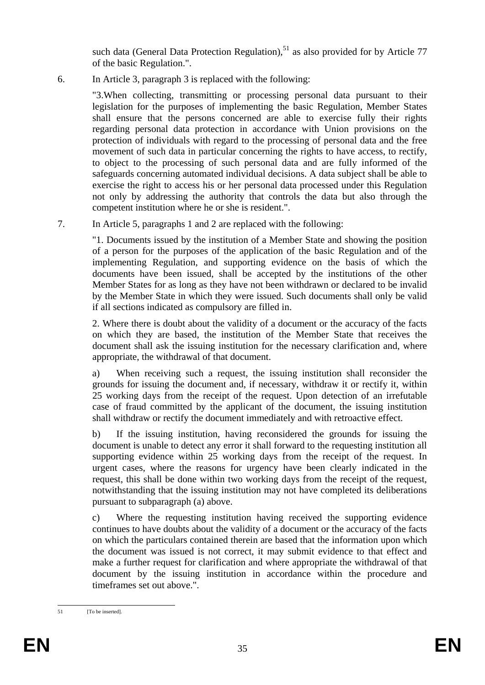such data (General Data Protection Regulation).<sup>51</sup> as also provided for by Article 77 of the basic Regulation.".

6. In Article 3, paragraph 3 is replaced with the following:

"3.When collecting, transmitting or processing personal data pursuant to their legislation for the purposes of implementing the basic Regulation, Member States shall ensure that the persons concerned are able to exercise fully their rights regarding personal data protection in accordance with Union provisions on the protection of individuals with regard to the processing of personal data and the free movement of such data in particular concerning the rights to have access, to rectify, to object to the processing of such personal data and are fully informed of the safeguards concerning automated individual decisions. A data subject shall be able to exercise the right to access his or her personal data processed under this Regulation not only by addressing the authority that controls the data but also through the competent institution where he or she is resident.".

7. In Article 5, paragraphs 1 and 2 are replaced with the following:

"1. Documents issued by the institution of a Member State and showing the position of a person for the purposes of the application of the basic Regulation and of the implementing Regulation, and supporting evidence on the basis of which the documents have been issued, shall be accepted by the institutions of the other Member States for as long as they have not been withdrawn or declared to be invalid by the Member State in which they were issued. Such documents shall only be valid if all sections indicated as compulsory are filled in.

2. Where there is doubt about the validity of a document or the accuracy of the facts on which they are based, the institution of the Member State that receives the document shall ask the issuing institution for the necessary clarification and, where appropriate, the withdrawal of that document.

a) When receiving such a request, the issuing institution shall reconsider the grounds for issuing the document and, if necessary, withdraw it or rectify it, within 25 working days from the receipt of the request. Upon detection of an irrefutable case of fraud committed by the applicant of the document, the issuing institution shall withdraw or rectify the document immediately and with retroactive effect.

b) If the issuing institution, having reconsidered the grounds for issuing the document is unable to detect any error it shall forward to the requesting institution all supporting evidence within 25 working days from the receipt of the request. In urgent cases, where the reasons for urgency have been clearly indicated in the request, this shall be done within two working days from the receipt of the request, notwithstanding that the issuing institution may not have completed its deliberations pursuant to subparagraph (a) above.

c) Where the requesting institution having received the supporting evidence continues to have doubts about the validity of a document or the accuracy of the facts on which the particulars contained therein are based that the information upon which the document was issued is not correct, it may submit evidence to that effect and make a further request for clarification and where appropriate the withdrawal of that document by the issuing institution in accordance within the procedure and timeframes set out above.".

 $51$ [To be inserted].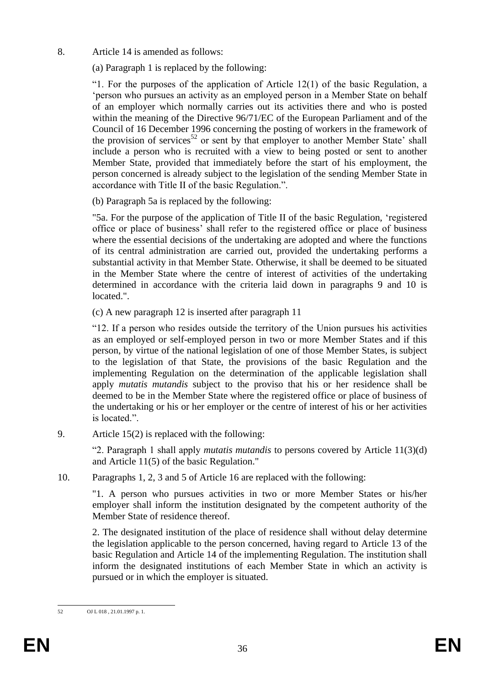8. Article 14 is amended as follows:

(a) Paragraph 1 is replaced by the following:

"1. For the purposes of the application of Article  $12(1)$  of the basic Regulation, a 'person who pursues an activity as an employed person in a Member State on behalf of an employer which normally carries out its activities there and who is posted within the meaning of the Directive 96/71/EC of the European Parliament and of the Council of 16 December 1996 concerning the posting of workers in the framework of the provision of services<sup>52</sup> or sent by that employer to another Member State' shall include a person who is recruited with a view to being posted or sent to another Member State, provided that immediately before the start of his employment, the person concerned is already subject to the legislation of the sending Member State in accordance with Title II of the basic Regulation.".

(b) Paragraph 5a is replaced by the following:

"5a. For the purpose of the application of Title II of the basic Regulation, 'registered office or place of business' shall refer to the registered office or place of business where the essential decisions of the undertaking are adopted and where the functions of its central administration are carried out, provided the undertaking performs a substantial activity in that Member State. Otherwise, it shall be deemed to be situated in the Member State where the centre of interest of activities of the undertaking determined in accordance with the criteria laid down in paragraphs 9 and 10 is located.".

(c) A new paragraph 12 is inserted after paragraph 11

"12. If a person who resides outside the territory of the Union pursues his activities as an employed or self-employed person in two or more Member States and if this person, by virtue of the national legislation of one of those Member States, is subject to the legislation of that State, the provisions of the basic Regulation and the implementing Regulation on the determination of the applicable legislation shall apply *mutatis mutandis* subject to the proviso that his or her residence shall be deemed to be in the Member State where the registered office or place of business of the undertaking or his or her employer or the centre of interest of his or her activities is located."

9. Article 15(2) is replaced with the following:

"2. Paragraph 1 shall apply *mutatis mutandis* to persons covered by Article 11(3)(d) and Article 11(5) of the basic Regulation."

10. Paragraphs 1, 2, 3 and 5 of Article 16 are replaced with the following:

"1. A person who pursues activities in two or more Member States or his/her employer shall inform the institution designated by the competent authority of the Member State of residence thereof.

2. The designated institution of the place of residence shall without delay determine the legislation applicable to the person concerned, having regard to Article 13 of the basic Regulation and Article 14 of the implementing Regulation. The institution shall inform the designated institutions of each Member State in which an activity is pursued or in which the employer is situated.

 $52$ 52 OJ L 018 , 21.01.1997 p. 1.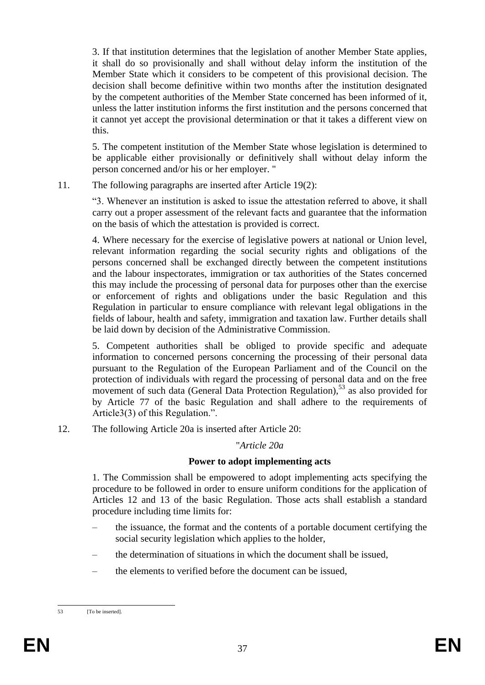3. If that institution determines that the legislation of another Member State applies, it shall do so provisionally and shall without delay inform the institution of the Member State which it considers to be competent of this provisional decision. The decision shall become definitive within two months after the institution designated by the competent authorities of the Member State concerned has been informed of it, unless the latter institution informs the first institution and the persons concerned that it cannot yet accept the provisional determination or that it takes a different view on this.

5. The competent institution of the Member State whose legislation is determined to be applicable either provisionally or definitively shall without delay inform the person concerned and/or his or her employer. "

11. The following paragraphs are inserted after Article 19(2):

"3. Whenever an institution is asked to issue the attestation referred to above, it shall carry out a proper assessment of the relevant facts and guarantee that the information on the basis of which the attestation is provided is correct.

4. Where necessary for the exercise of legislative powers at national or Union level, relevant information regarding the social security rights and obligations of the persons concerned shall be exchanged directly between the competent institutions and the labour inspectorates, immigration or tax authorities of the States concerned this may include the processing of personal data for purposes other than the exercise or enforcement of rights and obligations under the basic Regulation and this Regulation in particular to ensure compliance with relevant legal obligations in the fields of labour, health and safety, immigration and taxation law. Further details shall be laid down by decision of the Administrative Commission.

5. Competent authorities shall be obliged to provide specific and adequate information to concerned persons concerning the processing of their personal data pursuant to the Regulation of the European Parliament and of the Council on the protection of individuals with regard the processing of personal data and on the free movement of such data (General Data Protection Regulation),<sup>53</sup> as also provided for by Article 77 of the basic Regulation and shall adhere to the requirements of Article3(3) of this Regulation.".

12. The following Article 20a is inserted after Article 20:

"*Article 20a*

## **Power to adopt implementing acts**

1. The Commission shall be empowered to adopt implementing acts specifying the procedure to be followed in order to ensure uniform conditions for the application of Articles 12 and 13 of the basic Regulation. Those acts shall establish a standard procedure including time limits for:

- the issuance, the format and the contents of a portable document certifying the social security legislation which applies to the holder,
- the determination of situations in which the document shall be issued,
- the elements to verified before the document can be issued,

 $53$ [To be inserted].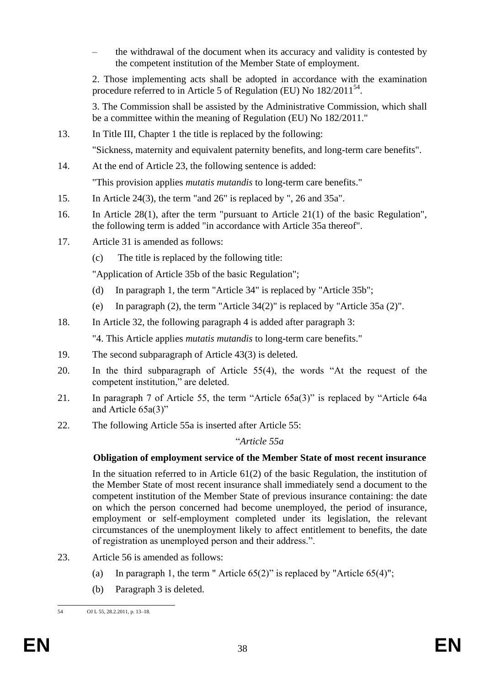– the withdrawal of the document when its accuracy and validity is contested by the competent institution of the Member State of employment.

2. Those implementing acts shall be adopted in accordance with the examination procedure referred to in Article 5 of Regulation (EU) No 182/2011<sup>54</sup>.

3. The Commission shall be assisted by the Administrative Commission, which shall be a committee within the meaning of Regulation (EU) No 182/2011."

- 13. In Title III, Chapter 1 the title is replaced by the following: "Sickness, maternity and equivalent paternity benefits, and long-term care benefits".
- 14. At the end of Article 23, the following sentence is added: "This provision applies *mutatis mutandis* to long-term care benefits."
- 15. In Article 24(3), the term "and 26" is replaced by ", 26 and 35a".
- 16. In Article 28(1), after the term "pursuant to Article 21(1) of the basic Regulation", the following term is added "in accordance with Article 35a thereof".
- 17. Article 31 is amended as follows:
	- (c) The title is replaced by the following title:

"Application of Article 35b of the basic Regulation";

- (d) In paragraph 1, the term "Article 34" is replaced by "Article 35b";
- (e) In paragraph (2), the term "Article 34(2)" is replaced by "Article 35a (2)".
- 18. In Article 32, the following paragraph 4 is added after paragraph 3:

"4. This Article applies *mutatis mutandis* to long-term care benefits."

- 19. The second subparagraph of Article 43(3) is deleted.
- 20. In the third subparagraph of Article 55(4), the words "At the request of the competent institution," are deleted.
- 21. In paragraph 7 of Article 55, the term "Article 65a(3)" is replaced by "Article 64a and Article 65a(3)"
- 22. The following Article 55a is inserted after Article 55:

## "*Article 55a*

## **Obligation of employment service of the Member State of most recent insurance**

In the situation referred to in Article 61(2) of the basic Regulation, the institution of the Member State of most recent insurance shall immediately send a document to the competent institution of the Member State of previous insurance containing: the date on which the person concerned had become unemployed, the period of insurance, employment or self-employment completed under its legislation, the relevant circumstances of the unemployment likely to affect entitlement to benefits, the date of registration as unemployed person and their address.".

- 23. Article 56 is amended as follows:
	- (a) In paragraph 1, the term " Article  $65(2)$ " is replaced by "Article  $65(4)$ ";
	- (b) Paragraph 3 is deleted.

 $54$ 54 OJ L 55, 28.2.2011, p. 13–18.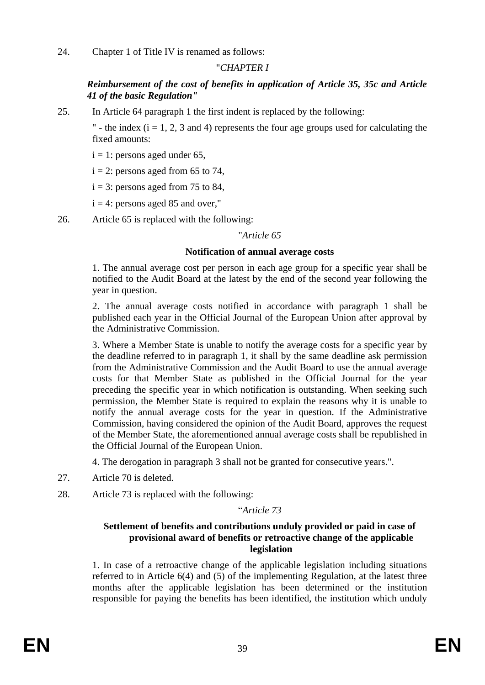24. Chapter 1 of Title IV is renamed as follows:

## "*CHAPTER I*

## *Reimbursement of the cost of benefits in application of Article 35, 35c and Article 41 of the basic Regulation"*

25. In Article 64 paragraph 1 the first indent is replaced by the following:

" - the index  $(i = 1, 2, 3$  and 4) represents the four age groups used for calculating the fixed amounts:

 $i = 1$ : persons aged under 65,

 $i = 2$ : persons aged from 65 to 74,

 $i = 3$ : persons aged from 75 to 84,

 $i = 4$ : persons aged 85 and over."

26. Article 65 is replaced with the following:

#### "*Article 65*

### **Notification of annual average costs**

1. The annual average cost per person in each age group for a specific year shall be notified to the Audit Board at the latest by the end of the second year following the year in question.

2. The annual average costs notified in accordance with paragraph 1 shall be published each year in the Official Journal of the European Union after approval by the Administrative Commission.

3. Where a Member State is unable to notify the average costs for a specific year by the deadline referred to in paragraph 1, it shall by the same deadline ask permission from the Administrative Commission and the Audit Board to use the annual average costs for that Member State as published in the Official Journal for the year preceding the specific year in which notification is outstanding. When seeking such permission, the Member State is required to explain the reasons why it is unable to notify the annual average costs for the year in question. If the Administrative Commission, having considered the opinion of the Audit Board, approves the request of the Member State, the aforementioned annual average costs shall be republished in the Official Journal of the European Union.

4. The derogation in paragraph 3 shall not be granted for consecutive years.".

- 27. Article 70 is deleted.
- 28. Article 73 is replaced with the following:

#### "*Article 73*

#### **Settlement of benefits and contributions unduly provided or paid in case of provisional award of benefits or retroactive change of the applicable legislation**

1. In case of a retroactive change of the applicable legislation including situations referred to in Article 6(4) and (5) of the implementing Regulation, at the latest three months after the applicable legislation has been determined or the institution responsible for paying the benefits has been identified, the institution which unduly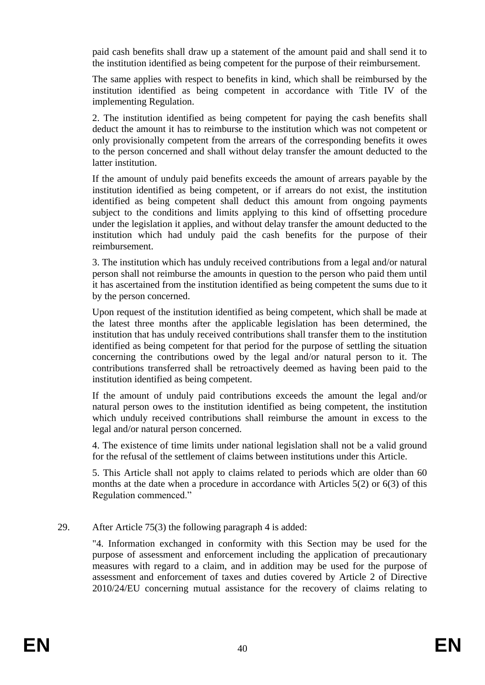paid cash benefits shall draw up a statement of the amount paid and shall send it to the institution identified as being competent for the purpose of their reimbursement.

The same applies with respect to benefits in kind, which shall be reimbursed by the institution identified as being competent in accordance with Title IV of the implementing Regulation.

2. The institution identified as being competent for paying the cash benefits shall deduct the amount it has to reimburse to the institution which was not competent or only provisionally competent from the arrears of the corresponding benefits it owes to the person concerned and shall without delay transfer the amount deducted to the latter institution.

If the amount of unduly paid benefits exceeds the amount of arrears payable by the institution identified as being competent, or if arrears do not exist, the institution identified as being competent shall deduct this amount from ongoing payments subject to the conditions and limits applying to this kind of offsetting procedure under the legislation it applies, and without delay transfer the amount deducted to the institution which had unduly paid the cash benefits for the purpose of their reimbursement.

3. The institution which has unduly received contributions from a legal and/or natural person shall not reimburse the amounts in question to the person who paid them until it has ascertained from the institution identified as being competent the sums due to it by the person concerned.

Upon request of the institution identified as being competent, which shall be made at the latest three months after the applicable legislation has been determined, the institution that has unduly received contributions shall transfer them to the institution identified as being competent for that period for the purpose of settling the situation concerning the contributions owed by the legal and/or natural person to it. The contributions transferred shall be retroactively deemed as having been paid to the institution identified as being competent.

If the amount of unduly paid contributions exceeds the amount the legal and/or natural person owes to the institution identified as being competent, the institution which unduly received contributions shall reimburse the amount in excess to the legal and/or natural person concerned.

4. The existence of time limits under national legislation shall not be a valid ground for the refusal of the settlement of claims between institutions under this Article.

5. This Article shall not apply to claims related to periods which are older than 60 months at the date when a procedure in accordance with Articles 5(2) or 6(3) of this Regulation commenced."

## 29. After Article 75(3) the following paragraph 4 is added:

"4. Information exchanged in conformity with this Section may be used for the purpose of assessment and enforcement including the application of precautionary measures with regard to a claim, and in addition may be used for the purpose of assessment and enforcement of taxes and duties covered by Article 2 of Directive 2010/24/EU concerning mutual assistance for the recovery of claims relating to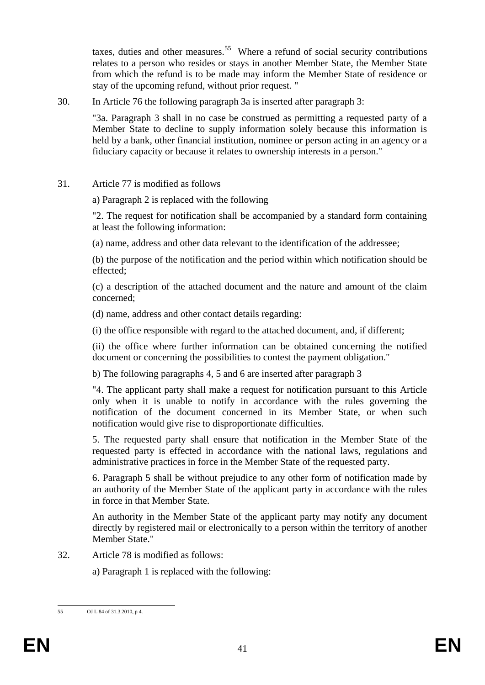taxes, duties and other measures.<sup>55</sup> Where a refund of social security contributions relates to a person who resides or stays in another Member State, the Member State from which the refund is to be made may inform the Member State of residence or stay of the upcoming refund, without prior request. "

30. In Article 76 the following paragraph 3a is inserted after paragraph 3:

"3a. Paragraph 3 shall in no case be construed as permitting a requested party of a Member State to decline to supply information solely because this information is held by a bank, other financial institution, nominee or person acting in an agency or a fiduciary capacity or because it relates to ownership interests in a person."

31. Article 77 is modified as follows

a) Paragraph 2 is replaced with the following

"2. The request for notification shall be accompanied by a standard form containing at least the following information:

(a) name, address and other data relevant to the identification of the addressee;

(b) the purpose of the notification and the period within which notification should be effected;

(c) a description of the attached document and the nature and amount of the claim concerned;

(d) name, address and other contact details regarding:

(i) the office responsible with regard to the attached document, and, if different;

(ii) the office where further information can be obtained concerning the notified document or concerning the possibilities to contest the payment obligation."

b) The following paragraphs 4, 5 and 6 are inserted after paragraph 3

"4. The applicant party shall make a request for notification pursuant to this Article only when it is unable to notify in accordance with the rules governing the notification of the document concerned in its Member State, or when such notification would give rise to disproportionate difficulties.

5. The requested party shall ensure that notification in the Member State of the requested party is effected in accordance with the national laws, regulations and administrative practices in force in the Member State of the requested party.

6. Paragraph 5 shall be without prejudice to any other form of notification made by an authority of the Member State of the applicant party in accordance with the rules in force in that Member State.

An authority in the Member State of the applicant party may notify any document directly by registered mail or electronically to a person within the territory of another Member State."

32. Article 78 is modified as follows:

a) Paragraph 1 is replaced with the following:

 $55$ OJ L 84 of 31.3.2010, p 4.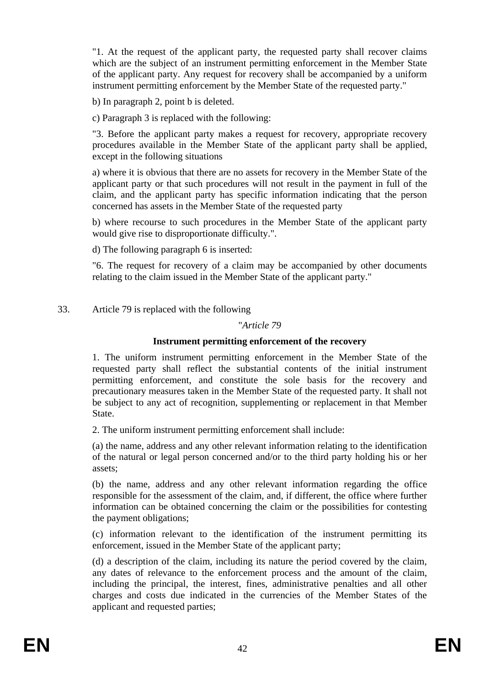"1. At the request of the applicant party, the requested party shall recover claims which are the subject of an instrument permitting enforcement in the Member State of the applicant party. Any request for recovery shall be accompanied by a uniform instrument permitting enforcement by the Member State of the requested party."

b) In paragraph 2, point b is deleted.

c) Paragraph 3 is replaced with the following:

"3. Before the applicant party makes a request for recovery, appropriate recovery procedures available in the Member State of the applicant party shall be applied, except in the following situations

a) where it is obvious that there are no assets for recovery in the Member State of the applicant party or that such procedures will not result in the payment in full of the claim, and the applicant party has specific information indicating that the person concerned has assets in the Member State of the requested party

b) where recourse to such procedures in the Member State of the applicant party would give rise to disproportionate difficulty.".

d) The following paragraph 6 is inserted:

"6. The request for recovery of a claim may be accompanied by other documents relating to the claim issued in the Member State of the applicant party."

33. Article 79 is replaced with the following

### "*Article 79*

#### **Instrument permitting enforcement of the recovery**

1. The uniform instrument permitting enforcement in the Member State of the requested party shall reflect the substantial contents of the initial instrument permitting enforcement, and constitute the sole basis for the recovery and precautionary measures taken in the Member State of the requested party. It shall not be subject to any act of recognition, supplementing or replacement in that Member State.

2. The uniform instrument permitting enforcement shall include:

(a) the name, address and any other relevant information relating to the identification of the natural or legal person concerned and/or to the third party holding his or her assets;

(b) the name, address and any other relevant information regarding the office responsible for the assessment of the claim, and, if different, the office where further information can be obtained concerning the claim or the possibilities for contesting the payment obligations;

(c) information relevant to the identification of the instrument permitting its enforcement, issued in the Member State of the applicant party;

(d) a description of the claim, including its nature the period covered by the claim, any dates of relevance to the enforcement process and the amount of the claim, including the principal, the interest, fines, administrative penalties and all other charges and costs due indicated in the currencies of the Member States of the applicant and requested parties;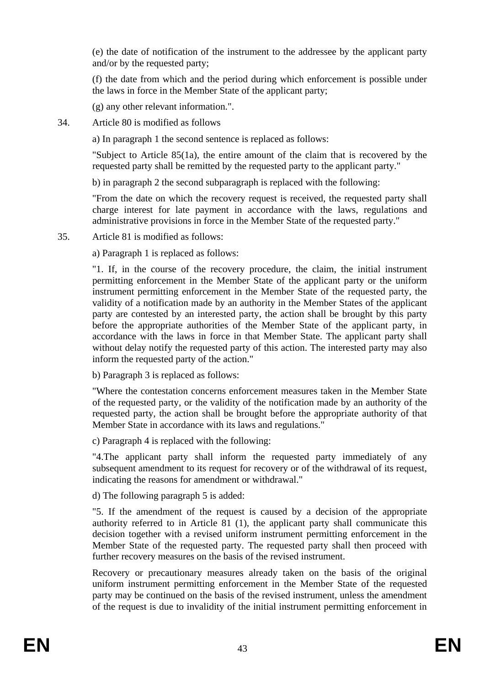(e) the date of notification of the instrument to the addressee by the applicant party and/or by the requested party;

(f) the date from which and the period during which enforcement is possible under the laws in force in the Member State of the applicant party;

(g) any other relevant information.".

34. Article 80 is modified as follows

a) In paragraph 1 the second sentence is replaced as follows:

"Subject to Article 85(1a), the entire amount of the claim that is recovered by the requested party shall be remitted by the requested party to the applicant party."

b) in paragraph 2 the second subparagraph is replaced with the following:

"From the date on which the recovery request is received, the requested party shall charge interest for late payment in accordance with the laws, regulations and administrative provisions in force in the Member State of the requested party."

35. Article 81 is modified as follows:

a) Paragraph 1 is replaced as follows:

"1. If, in the course of the recovery procedure, the claim, the initial instrument permitting enforcement in the Member State of the applicant party or the uniform instrument permitting enforcement in the Member State of the requested party, the validity of a notification made by an authority in the Member States of the applicant party are contested by an interested party, the action shall be brought by this party before the appropriate authorities of the Member State of the applicant party, in accordance with the laws in force in that Member State. The applicant party shall without delay notify the requested party of this action. The interested party may also inform the requested party of the action."

b) Paragraph 3 is replaced as follows:

"Where the contestation concerns enforcement measures taken in the Member State of the requested party, or the validity of the notification made by an authority of the requested party, the action shall be brought before the appropriate authority of that Member State in accordance with its laws and regulations."

c) Paragraph 4 is replaced with the following:

"4.The applicant party shall inform the requested party immediately of any subsequent amendment to its request for recovery or of the withdrawal of its request, indicating the reasons for amendment or withdrawal."

d) The following paragraph 5 is added:

"5. If the amendment of the request is caused by a decision of the appropriate authority referred to in Article 81 (1), the applicant party shall communicate this decision together with a revised uniform instrument permitting enforcement in the Member State of the requested party. The requested party shall then proceed with further recovery measures on the basis of the revised instrument.

Recovery or precautionary measures already taken on the basis of the original uniform instrument permitting enforcement in the Member State of the requested party may be continued on the basis of the revised instrument, unless the amendment of the request is due to invalidity of the initial instrument permitting enforcement in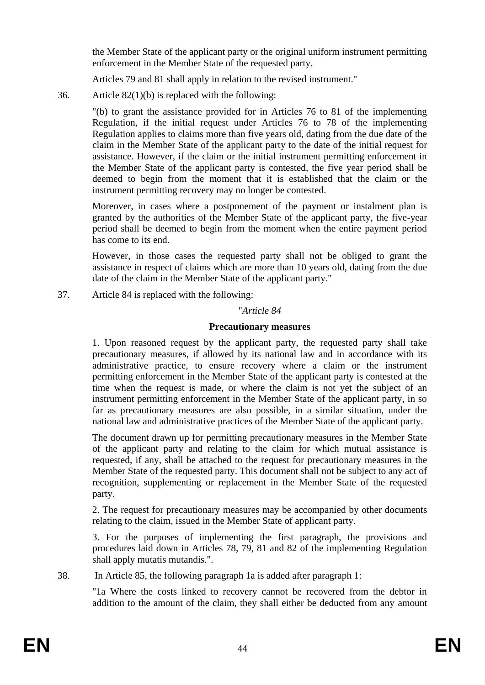the Member State of the applicant party or the original uniform instrument permitting enforcement in the Member State of the requested party.

Articles 79 and 81 shall apply in relation to the revised instrument."

36. Article 82(1)(b) is replaced with the following:

"(b) to grant the assistance provided for in Articles 76 to 81 of the implementing Regulation, if the initial request under Articles 76 to 78 of the implementing Regulation applies to claims more than five years old, dating from the due date of the claim in the Member State of the applicant party to the date of the initial request for assistance. However, if the claim or the initial instrument permitting enforcement in the Member State of the applicant party is contested, the five year period shall be deemed to begin from the moment that it is established that the claim or the instrument permitting recovery may no longer be contested.

Moreover, in cases where a postponement of the payment or instalment plan is granted by the authorities of the Member State of the applicant party, the five-year period shall be deemed to begin from the moment when the entire payment period has come to its end.

However, in those cases the requested party shall not be obliged to grant the assistance in respect of claims which are more than 10 years old, dating from the due date of the claim in the Member State of the applicant party."

37. Article 84 is replaced with the following:

"*Article 84*

## **Precautionary measures**

1. Upon reasoned request by the applicant party, the requested party shall take precautionary measures, if allowed by its national law and in accordance with its administrative practice, to ensure recovery where a claim or the instrument permitting enforcement in the Member State of the applicant party is contested at the time when the request is made, or where the claim is not yet the subject of an instrument permitting enforcement in the Member State of the applicant party, in so far as precautionary measures are also possible, in a similar situation, under the national law and administrative practices of the Member State of the applicant party.

The document drawn up for permitting precautionary measures in the Member State of the applicant party and relating to the claim for which mutual assistance is requested, if any, shall be attached to the request for precautionary measures in the Member State of the requested party. This document shall not be subject to any act of recognition, supplementing or replacement in the Member State of the requested party.

2. The request for precautionary measures may be accompanied by other documents relating to the claim, issued in the Member State of applicant party.

3. For the purposes of implementing the first paragraph, the provisions and procedures laid down in Articles 78, 79, 81 and 82 of the implementing Regulation shall apply mutatis mutandis.".

38. In Article 85, the following paragraph 1a is added after paragraph 1:

"1a Where the costs linked to recovery cannot be recovered from the debtor in addition to the amount of the claim, they shall either be deducted from any amount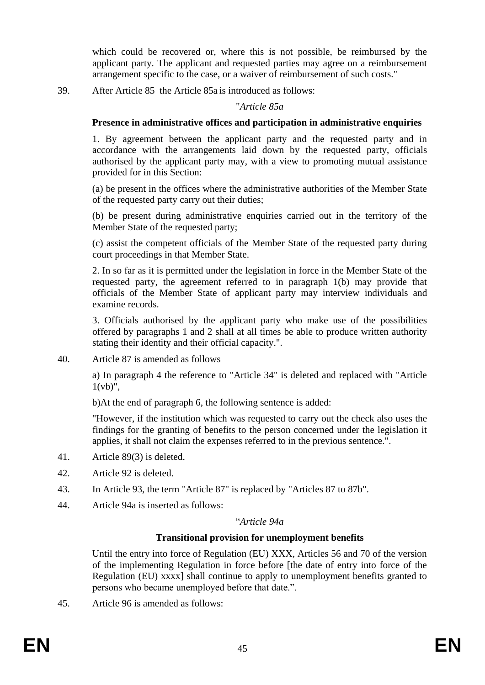which could be recovered or, where this is not possible, be reimbursed by the applicant party. The applicant and requested parties may agree on a reimbursement arrangement specific to the case, or a waiver of reimbursement of such costs."

39. After Article 85 the Article 85a is introduced as follows:

### "*Article 85a*

## **Presence in administrative offices and participation in administrative enquiries**

1. By agreement between the applicant party and the requested party and in accordance with the arrangements laid down by the requested party, officials authorised by the applicant party may, with a view to promoting mutual assistance provided for in this Section:

(a) be present in the offices where the administrative authorities of the Member State of the requested party carry out their duties;

(b) be present during administrative enquiries carried out in the territory of the Member State of the requested party;

(c) assist the competent officials of the Member State of the requested party during court proceedings in that Member State.

2. In so far as it is permitted under the legislation in force in the Member State of the requested party, the agreement referred to in paragraph 1(b) may provide that officials of the Member State of applicant party may interview individuals and examine records.

3. Officials authorised by the applicant party who make use of the possibilities offered by paragraphs 1 and 2 shall at all times be able to produce written authority stating their identity and their official capacity.".

40. Article 87 is amended as follows

a) In paragraph 4 the reference to "Article 34" is deleted and replaced with "Article  $1(vb)$ ",

b)At the end of paragraph 6, the following sentence is added:

"However, if the institution which was requested to carry out the check also uses the findings for the granting of benefits to the person concerned under the legislation it applies, it shall not claim the expenses referred to in the previous sentence.".

- 41. Article 89(3) is deleted.
- 42. Article 92 is deleted.
- 43. In Article 93, the term "Article 87" is replaced by "Articles 87 to 87b".
- 44. Article 94a is inserted as follows:

## "*Article 94a*

## **Transitional provision for unemployment benefits**

Until the entry into force of Regulation (EU) XXX, Articles 56 and 70 of the version of the implementing Regulation in force before [the date of entry into force of the Regulation (EU) xxxx] shall continue to apply to unemployment benefits granted to persons who became unemployed before that date.".

45. Article 96 is amended as follows: